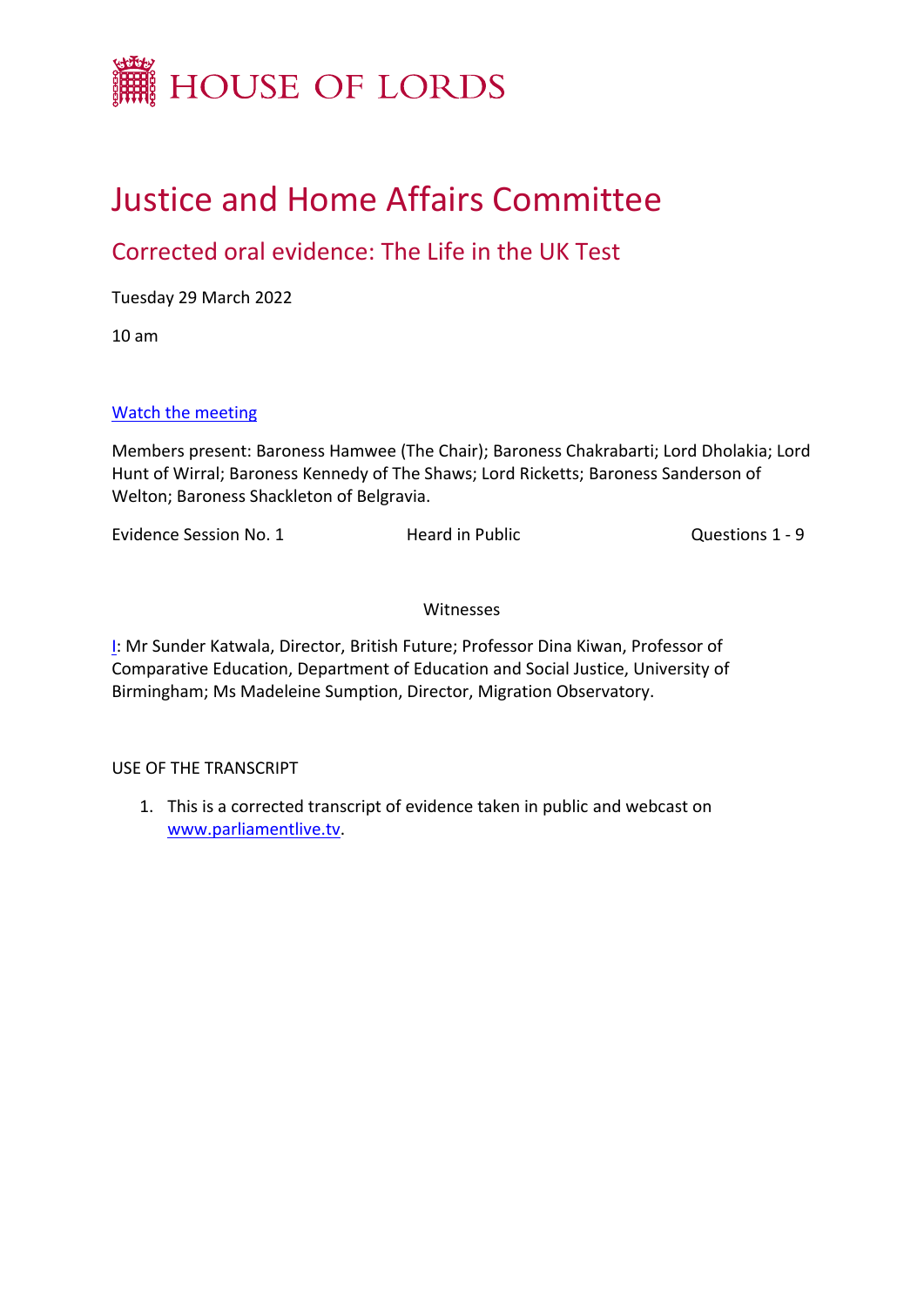

# Justice and Home Affairs Committee

# Corrected oral evidence: The Life in the UK Test

Tuesday 29 March 2022

10 am

# [Watch](https://parliamentlive.tv/event/index/67a70421-a370-4236-80ee-ce7788a0733b) [the](https://parliamentlive.tv/event/index/67a70421-a370-4236-80ee-ce7788a0733b) [meeting](https://parliamentlive.tv/event/index/67a70421-a370-4236-80ee-ce7788a0733b)

Members present: Baroness Hamwee (The Chair); Baroness Chakrabarti; Lord Dholakia; Lord Hunt of Wirral; Baroness Kennedy of The Shaws; Lord Ricketts; Baroness Sanderson of Welton; Baroness Shackleton of Belgravia.

Evidence Session No. 1 **Heard in Public Example 2** Cuestions 1 - 9

# Witnesses

[I](#page-1-0): Mr Sunder Katwala, Director, British Future; Professor Dina Kiwan, Professor of Comparative Education, Department of Education and Social Justice, University of Birmingham; Ms Madeleine Sumption, Director, Migration Observatory.

USE OF THE TRANSCRIPT

1. This is a corrected transcript of evidence taken in public and webcast on [www.parliamentlive.tv.](http://www.parliamentlive.tv/)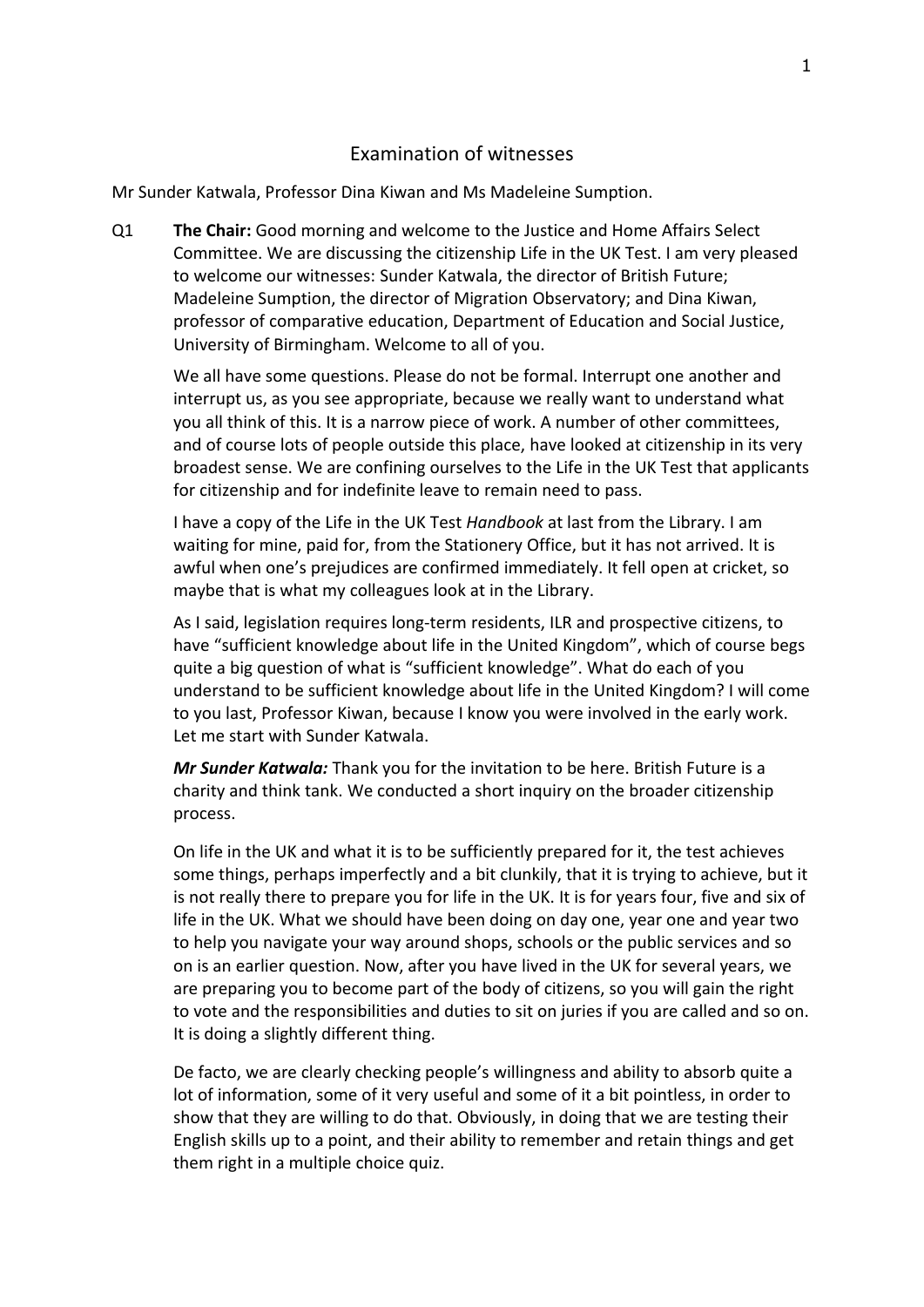# <span id="page-1-0"></span>Examination of witnesses

Mr Sunder Katwala, Professor Dina Kiwan and Ms Madeleine Sumption.

Q1 **The Chair:** Good morning and welcome to the Justice and Home Affairs Select Committee. We are discussing the citizenship Life in the UK Test. I am very pleased to welcome our witnesses: Sunder Katwala, the director of British Future; Madeleine Sumption, the director of Migration Observatory; and Dina Kiwan, professor of comparative education, Department of Education and Social Justice, University of Birmingham. Welcome to all of you.

We all have some questions. Please do not be formal. Interrupt one another and interrupt us, as you see appropriate, because we really want to understand what you all think of this. It is a narrow piece of work. A number of other committees, and of course lots of people outside this place, have looked at citizenship in its very broadest sense. We are confining ourselves to the Life in the UK Test that applicants for citizenship and for indefinite leave to remain need to pass.

I have a copy of the Life in the UK Test *Handbook* at last from the Library. I am waiting for mine, paid for, from the Stationery Office, but it has not arrived. It is awful when one's prejudices are confirmed immediately. It fell open at cricket, so maybe that is what my colleagues look at in the Library.

As I said, legislation requires long-term residents, ILR and prospective citizens, to have "sufficient knowledge about life in the United Kingdom", which of course begs quite a big question of what is "sufficient knowledge". What do each of you understand to be sufficient knowledge about life in the United Kingdom? I will come to you last, Professor Kiwan, because I know you were involved in the early work. Let me start with Sunder Katwala.

*Mr Sunder Katwala:* Thank you for the invitation to be here. British Future is a charity and think tank. We conducted a short inquiry on the broader citizenship process.

On life in the UK and what it is to be sufficiently prepared for it, the test achieves some things, perhaps imperfectly and a bit clunkily, that it is trying to achieve, but it is not really there to prepare you for life in the UK. It is for years four, five and six of life in the UK. What we should have been doing on day one, year one and year two to help you navigate your way around shops, schools or the public services and so on is an earlier question. Now, after you have lived in the UK for several years, we are preparing you to become part of the body of citizens, so you will gain the right to vote and the responsibilities and duties to sit on juries if you are called and so on. It is doing a slightly different thing.

De facto, we are clearly checking people's willingness and ability to absorb quite a lot of information, some of it very useful and some of it a bit pointless, in order to show that they are willing to do that. Obviously, in doing that we are testing their English skills up to a point, and their ability to remember and retain things and get them right in a multiple choice quiz.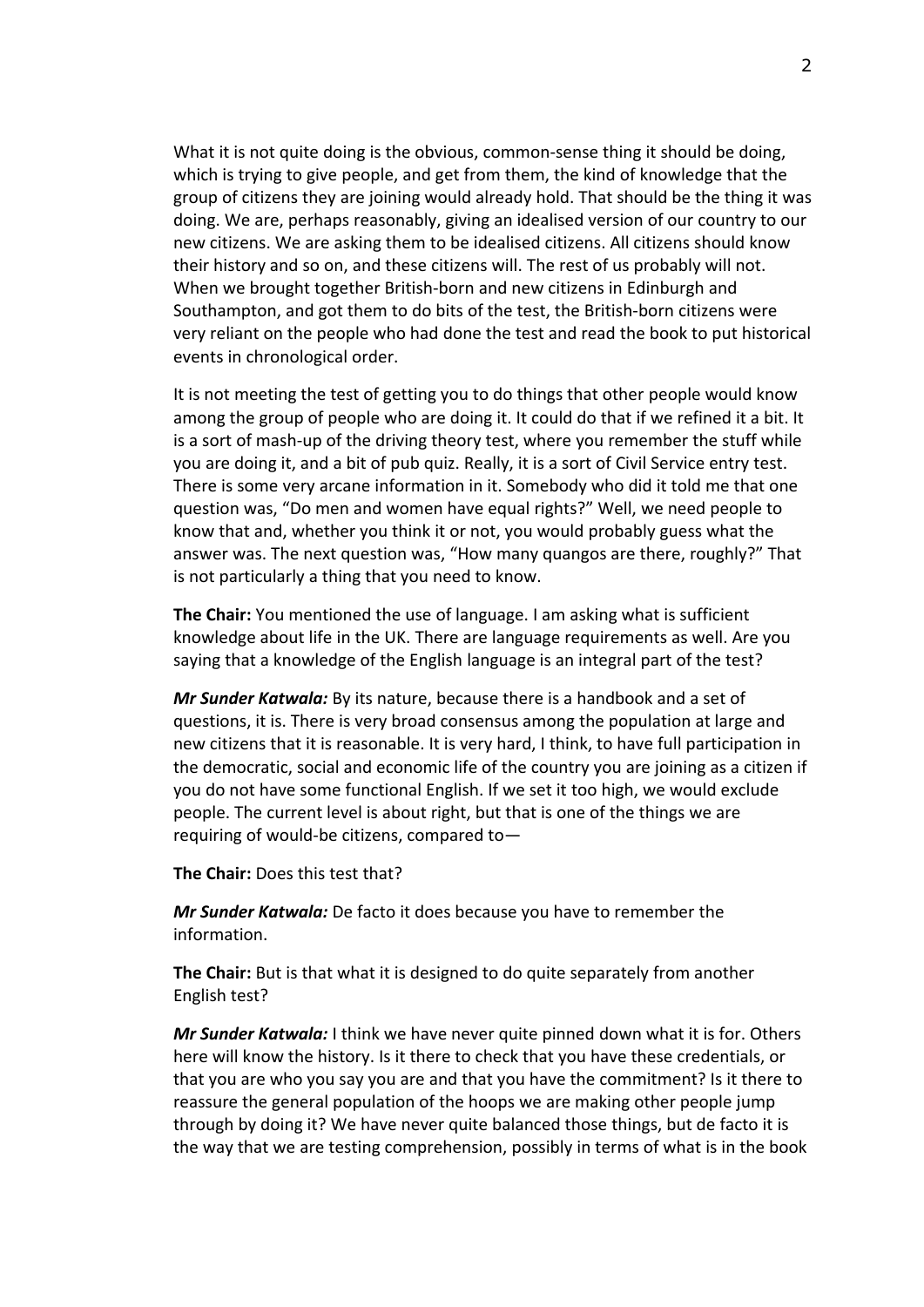What it is not quite doing is the obvious, common-sense thing it should be doing, which is trying to give people, and get from them, the kind of knowledge that the group of citizens they are joining would already hold. That should be the thing it was doing. We are, perhaps reasonably, giving an idealised version of our country to our new citizens. We are asking them to be idealised citizens. All citizens should know their history and so on, and these citizens will. The rest of us probably will not. When we brought together British-born and new citizens in Edinburgh and Southampton, and got them to do bits of the test, the British-born citizens were very reliant on the people who had done the test and read the book to put historical events in chronological order.

It is not meeting the test of getting you to do things that other people would know among the group of people who are doing it. It could do that if we refined it a bit. It is a sort of mash-up of the driving theory test, where you remember the stuff while you are doing it, and a bit of pub quiz. Really, it is a sort of Civil Service entry test. There is some very arcane information in it. Somebody who did it told me that one question was, "Do men and women have equal rights?" Well, we need people to know that and, whether you think it or not, you would probably guess what the answer was. The next question was, "How many quangos are there, roughly?" That is not particularly a thing that you need to know.

**The Chair:** You mentioned the use of language. I am asking what is sufficient knowledge about life in the UK. There are language requirements as well. Are you saying that a knowledge of the English language is an integral part of the test?

*Mr Sunder Katwala:* By its nature, because there is a handbook and a set of questions, it is. There is very broad consensus among the population at large and new citizens that it is reasonable. It is very hard, I think, to have full participation in the democratic, social and economic life of the country you are joining as a citizen if you do not have some functional English. If we set it too high, we would exclude people. The current level is about right, but that is one of the things we are requiring of would-be citizens, compared to—

**The Chair:** Does this test that?

*Mr Sunder Katwala:* De facto it does because you have to remember the information.

**The Chair:** But is that what it is designed to do quite separately from another English test?

*Mr Sunder Katwala:* I think we have never quite pinned down what it is for. Others here will know the history. Is it there to check that you have these credentials, or that you are who you say you are and that you have the commitment? Is it there to reassure the general population of the hoops we are making other people jump through by doing it? We have never quite balanced those things, but de facto it is the way that we are testing comprehension, possibly in terms of what is in the book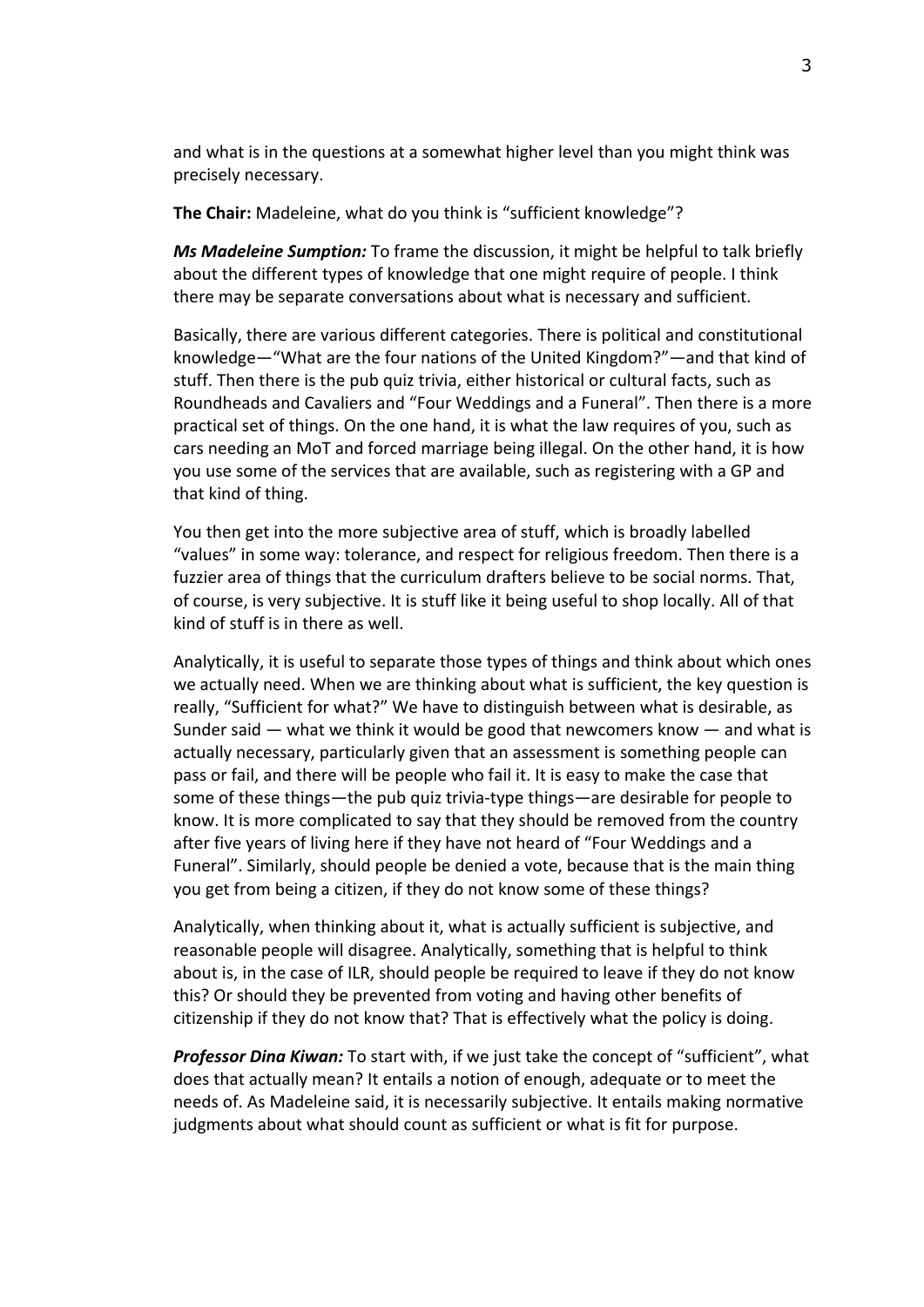and what is in the questions at a somewhat higher level than you might think was precisely necessary.

**The Chair:** Madeleine, what do you think is "sufficient knowledge"?

*Ms Madeleine Sumption:* To frame the discussion, it might be helpful to talk briefly about the different types of knowledge that one might require of people. I think there may be separate conversations about what is necessary and sufficient.

Basically, there are various different categories. There is political and constitutional knowledge—"What are the four nations of the United Kingdom?"—and that kind of stuff. Then there is the pub quiz trivia, either historical or cultural facts, such as Roundheads and Cavaliers and "Four Weddings and a Funeral". Then there is a more practical set of things. On the one hand, it is what the law requires of you, such as cars needing an MoT and forced marriage being illegal. On the other hand, it is how you use some of the services that are available, such as registering with a GP and that kind of thing.

You then get into the more subjective area of stuff, which is broadly labelled "values" in some way: tolerance, and respect for religious freedom. Then there is a fuzzier area of things that the curriculum drafters believe to be social norms. That, of course, is very subjective. It is stuff like it being useful to shop locally. All of that kind of stuff is in there as well.

Analytically, it is useful to separate those types of things and think about which ones we actually need. When we are thinking about what is sufficient, the key question is really, "Sufficient for what?" We have to distinguish between what is desirable, as Sunder said — what we think it would be good that newcomers know — and what is actually necessary, particularly given that an assessment is something people can pass or fail, and there will be people who fail it. It is easy to make the case that some of these things—the pub quiz trivia-type things—are desirable for people to know. It is more complicated to say that they should be removed from the country after five years of living here if they have not heard of "Four Weddings and a Funeral". Similarly, should people be denied a vote, because that is the main thing you get from being a citizen, if they do not know some of these things?

Analytically, when thinking about it, what is actually sufficient is subjective, and reasonable people will disagree. Analytically, something that is helpful to think about is, in the case of ILR, should people be required to leave if they do not know this? Or should they be prevented from voting and having other benefits of citizenship if they do not know that? That is effectively what the policy is doing.

*Professor Dina Kiwan:* To start with, if we just take the concept of "sufficient", what does that actually mean? It entails a notion of enough, adequate or to meet the needs of. As Madeleine said, it is necessarily subjective. It entails making normative judgments about what should count as sufficient or what is fit for purpose.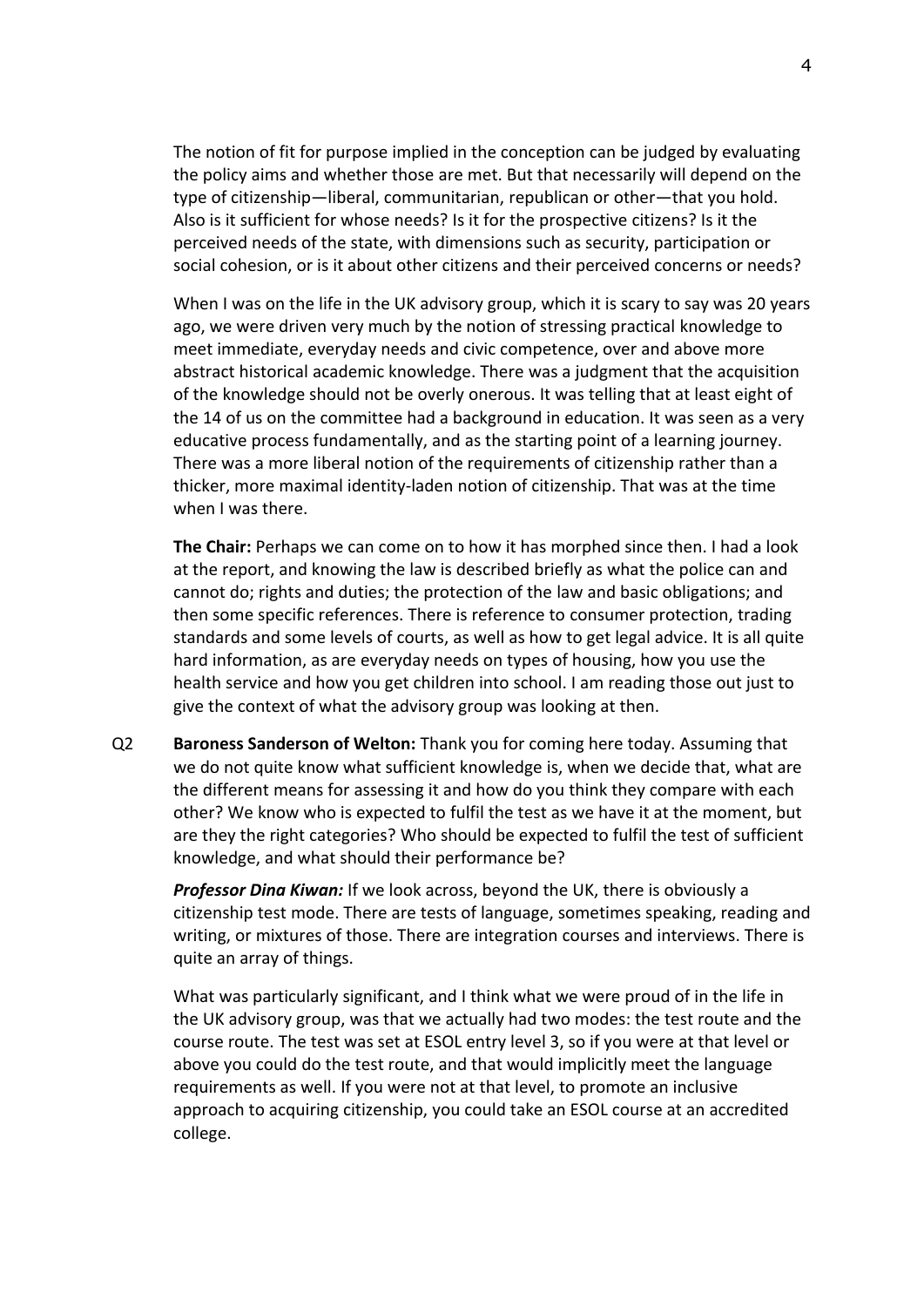The notion of fit for purpose implied in the conception can be judged by evaluating the policy aims and whether those are met. But that necessarily will depend on the type of citizenship—liberal, communitarian, republican or other—that you hold. Also is it sufficient for whose needs? Is it for the prospective citizens? Is it the perceived needs of the state, with dimensions such as security, participation or social cohesion, or is it about other citizens and their perceived concerns or needs?

When I was on the life in the UK advisory group, which it is scary to say was 20 years ago, we were driven very much by the notion of stressing practical knowledge to meet immediate, everyday needs and civic competence, over and above more abstract historical academic knowledge. There was a judgment that the acquisition of the knowledge should not be overly onerous. It was telling that at least eight of the 14 of us on the committee had a background in education. It was seen as a very educative process fundamentally, and as the starting point of a learning journey. There was a more liberal notion of the requirements of citizenship rather than a thicker, more maximal identity-laden notion of citizenship. That was at the time when I was there.

**The Chair:** Perhaps we can come on to how it has morphed since then. I had a look at the report, and knowing the law is described briefly as what the police can and cannot do; rights and duties; the protection of the law and basic obligations; and then some specific references. There is reference to consumer protection, trading standards and some levels of courts, as well as how to get legal advice. It is all quite hard information, as are everyday needs on types of housing, how you use the health service and how you get children into school. I am reading those out just to give the context of what the advisory group was looking at then.

Q2 **Baroness Sanderson of Welton:** Thank you for coming here today. Assuming that we do not quite know what sufficient knowledge is, when we decide that, what are the different means for assessing it and how do you think they compare with each other? We know who is expected to fulfil the test as we have it at the moment, but are they the right categories? Who should be expected to fulfil the test of sufficient knowledge, and what should their performance be?

*Professor Dina Kiwan:* If we look across, beyond the UK, there is obviously a citizenship test mode. There are tests of language, sometimes speaking, reading and writing, or mixtures of those. There are integration courses and interviews. There is quite an array of things.

What was particularly significant, and I think what we were proud of in the life in the UK advisory group, was that we actually had two modes: the test route and the course route. The test was set at ESOL entry level 3, so if you were at that level or above you could do the test route, and that would implicitly meet the language requirements as well. If you were not at that level, to promote an inclusive approach to acquiring citizenship, you could take an ESOL course at an accredited college.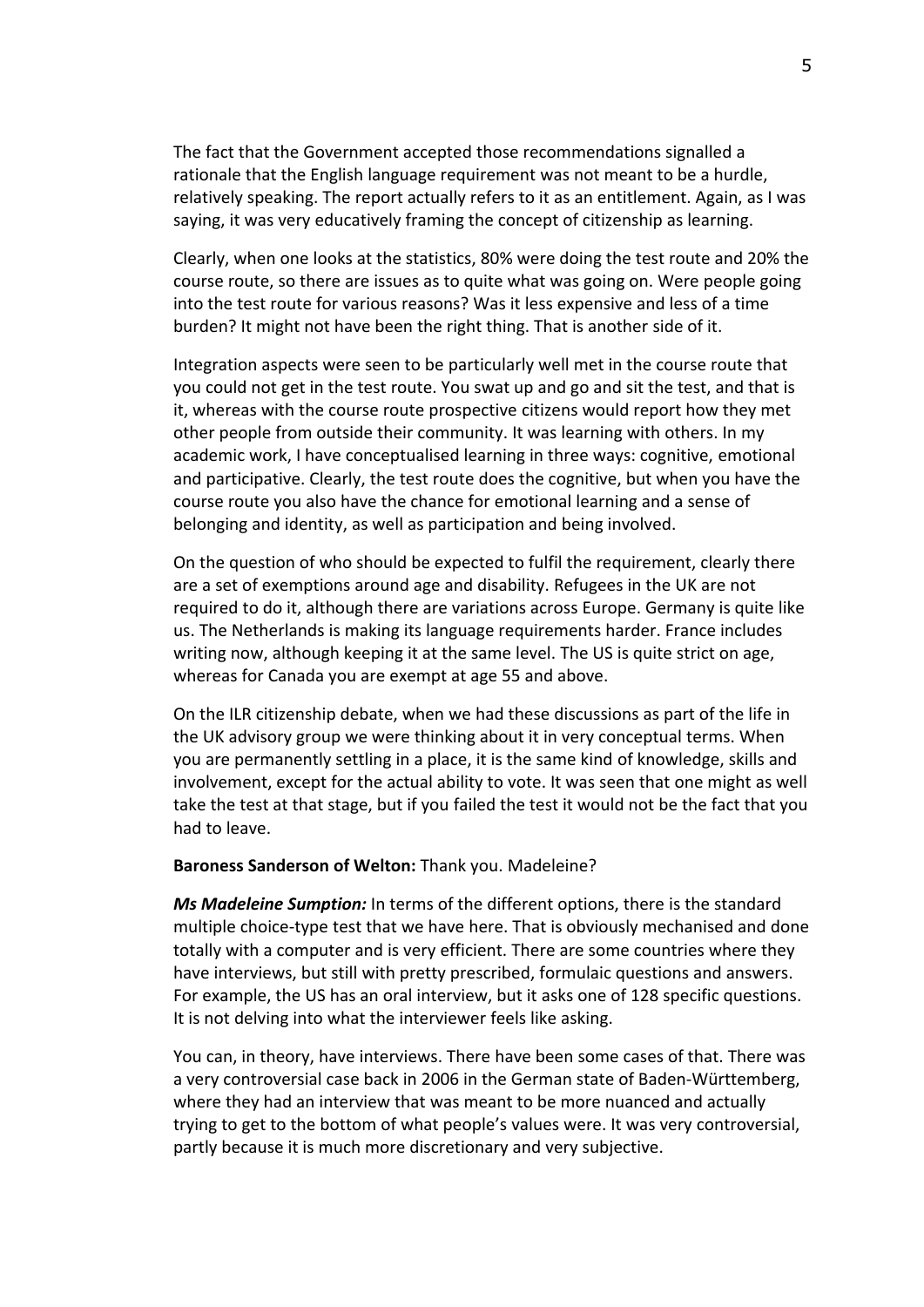The fact that the Government accepted those recommendations signalled a rationale that the English language requirement was not meant to be a hurdle, relatively speaking. The report actually refers to it as an entitlement. Again, as I was saying, it was very educatively framing the concept of citizenship as learning.

Clearly, when one looks at the statistics, 80% were doing the test route and 20% the course route, so there are issues as to quite what was going on. Were people going into the test route for various reasons? Was it less expensive and less of a time burden? It might not have been the right thing. That is another side of it.

Integration aspects were seen to be particularly well met in the course route that you could not get in the test route. You swat up and go and sit the test, and that is it, whereas with the course route prospective citizens would report how they met other people from outside their community. It was learning with others. In my academic work, I have conceptualised learning in three ways: cognitive, emotional and participative. Clearly, the test route does the cognitive, but when you have the course route you also have the chance for emotional learning and a sense of belonging and identity, as well as participation and being involved.

On the question of who should be expected to fulfil the requirement, clearly there are a set of exemptions around age and disability. Refugees in the UK are not required to do it, although there are variations across Europe. Germany is quite like us. The Netherlands is making its language requirements harder. France includes writing now, although keeping it at the same level. The US is quite strict on age, whereas for Canada you are exempt at age 55 and above.

On the ILR citizenship debate, when we had these discussions as part of the life in the UK advisory group we were thinking about it in very conceptual terms. When you are permanently settling in a place, it is the same kind of knowledge, skills and involvement, except for the actual ability to vote. It was seen that one might as well take the test at that stage, but if you failed the test it would not be the fact that you had to leave.

#### **Baroness Sanderson of Welton:** Thank you. Madeleine?

*Ms Madeleine Sumption:* In terms of the different options, there is the standard multiple choice-type test that we have here. That is obviously mechanised and done totally with a computer and is very efficient. There are some countries where they have interviews, but still with pretty prescribed, formulaic questions and answers. For example, the US has an oral interview, but it asks one of 128 specific questions. It is not delving into what the interviewer feels like asking.

You can, in theory, have interviews. There have been some cases of that. There was a very controversial case back in 2006 in the German state of Baden-Württemberg, where they had an interview that was meant to be more nuanced and actually trying to get to the bottom of what people's values were. It was very controversial, partly because it is much more discretionary and very subjective.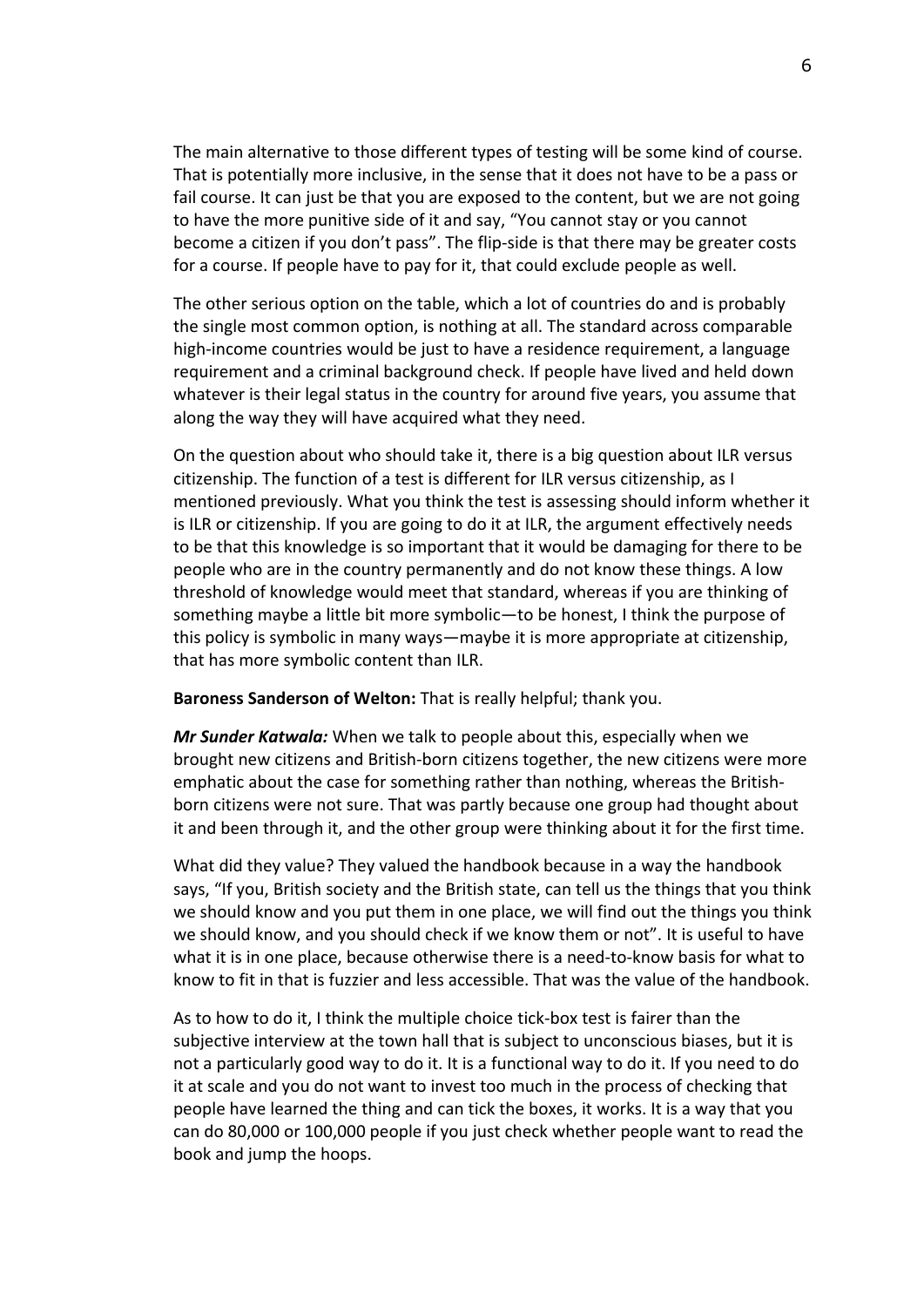The main alternative to those different types of testing will be some kind of course. That is potentially more inclusive, in the sense that it does not have to be a pass or fail course. It can just be that you are exposed to the content, but we are not going to have the more punitive side of it and say, "You cannot stay or you cannot become a citizen if you don't pass". The flip-side is that there may be greater costs for a course. If people have to pay for it, that could exclude people as well.

The other serious option on the table, which a lot of countries do and is probably the single most common option, is nothing at all. The standard across comparable high-income countries would be just to have a residence requirement, a language requirement and a criminal background check. If people have lived and held down whatever is their legal status in the country for around five years, you assume that along the way they will have acquired what they need.

On the question about who should take it, there is a big question about ILR versus citizenship. The function of a test is different for ILR versus citizenship, as I mentioned previously. What you think the test is assessing should inform whether it is ILR or citizenship. If you are going to do it at ILR, the argument effectively needs to be that this knowledge is so important that it would be damaging for there to be people who are in the country permanently and do not know these things. A low threshold of knowledge would meet that standard, whereas if you are thinking of something maybe a little bit more symbolic—to be honest, I think the purpose of this policy is symbolic in many ways—maybe it is more appropriate at citizenship, that has more symbolic content than ILR.

**Baroness Sanderson of Welton:** That is really helpful; thank you.

*Mr Sunder Katwala:* When we talk to people about this, especially when we brought new citizens and British-born citizens together, the new citizens were more emphatic about the case for something rather than nothing, whereas the Britishborn citizens were not sure. That was partly because one group had thought about it and been through it, and the other group were thinking about it for the first time.

What did they value? They valued the handbook because in a way the handbook says, "If you, British society and the British state, can tell us the things that you think we should know and you put them in one place, we will find out the things you think we should know, and you should check if we know them or not". It is useful to have what it is in one place, because otherwise there is a need-to-know basis for what to know to fit in that is fuzzier and less accessible. That was the value of the handbook.

As to how to do it, I think the multiple choice tick-box test is fairer than the subjective interview at the town hall that is subject to unconscious biases, but it is not a particularly good way to do it. It is a functional way to do it. If you need to do it at scale and you do not want to invest too much in the process of checking that people have learned the thing and can tick the boxes, it works. It is a way that you can do 80,000 or 100,000 people if you just check whether people want to read the book and jump the hoops.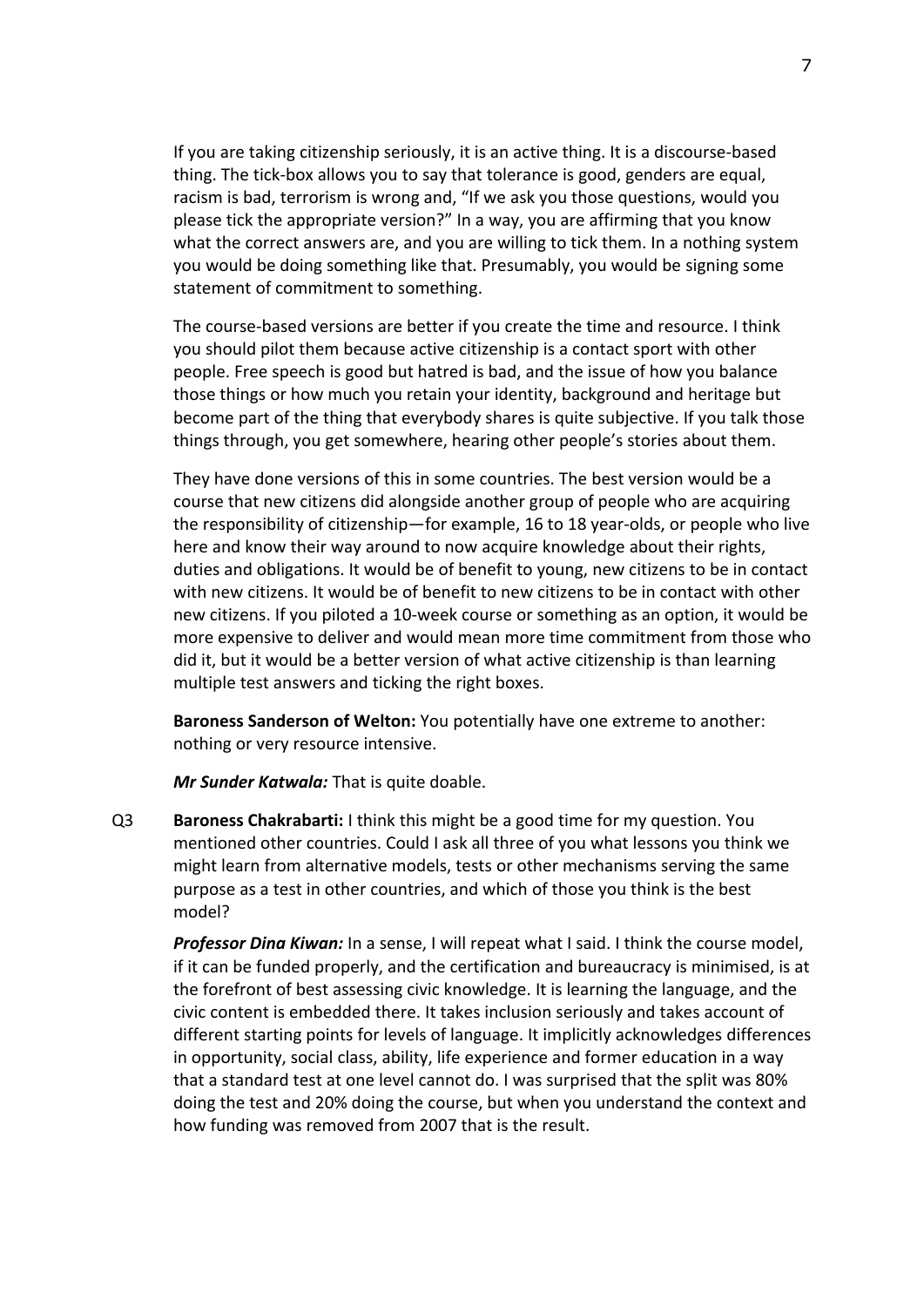If you are taking citizenship seriously, it is an active thing. It is a discourse-based thing. The tick-box allows you to say that tolerance is good, genders are equal, racism is bad, terrorism is wrong and, "If we ask you those questions, would you please tick the appropriate version?" In a way, you are affirming that you know what the correct answers are, and you are willing to tick them. In a nothing system you would be doing something like that. Presumably, you would be signing some statement of commitment to something.

The course-based versions are better if you create the time and resource. I think you should pilot them because active citizenship is a contact sport with other people. Free speech is good but hatred is bad, and the issue of how you balance those things or how much you retain your identity, background and heritage but become part of the thing that everybody shares is quite subjective. If you talk those things through, you get somewhere, hearing other people's stories about them.

They have done versions of this in some countries. The best version would be a course that new citizens did alongside another group of people who are acquiring the responsibility of citizenship—for example, 16 to 18 year-olds, or people who live here and know their way around to now acquire knowledge about their rights, duties and obligations. It would be of benefit to young, new citizens to be in contact with new citizens. It would be of benefit to new citizens to be in contact with other new citizens. If you piloted a 10-week course or something as an option, it would be more expensive to deliver and would mean more time commitment from those who did it, but it would be a better version of what active citizenship is than learning multiple test answers and ticking the right boxes.

**Baroness Sanderson of Welton:** You potentially have one extreme to another: nothing or very resource intensive.

*Mr Sunder Katwala:* That is quite doable.

Q3 **Baroness Chakrabarti:** I think this might be a good time for my question. You mentioned other countries. Could I ask all three of you what lessons you think we might learn from alternative models, tests or other mechanisms serving the same purpose as a test in other countries, and which of those you think is the best model?

*Professor Dina Kiwan:* In a sense, I will repeat what I said. I think the course model, if it can be funded properly, and the certification and bureaucracy is minimised, is at the forefront of best assessing civic knowledge. It is learning the language, and the civic content is embedded there. It takes inclusion seriously and takes account of different starting points for levels of language. It implicitly acknowledges differences in opportunity, social class, ability, life experience and former education in a way that a standard test at one level cannot do. I was surprised that the split was 80% doing the test and 20% doing the course, but when you understand the context and how funding was removed from 2007 that is the result.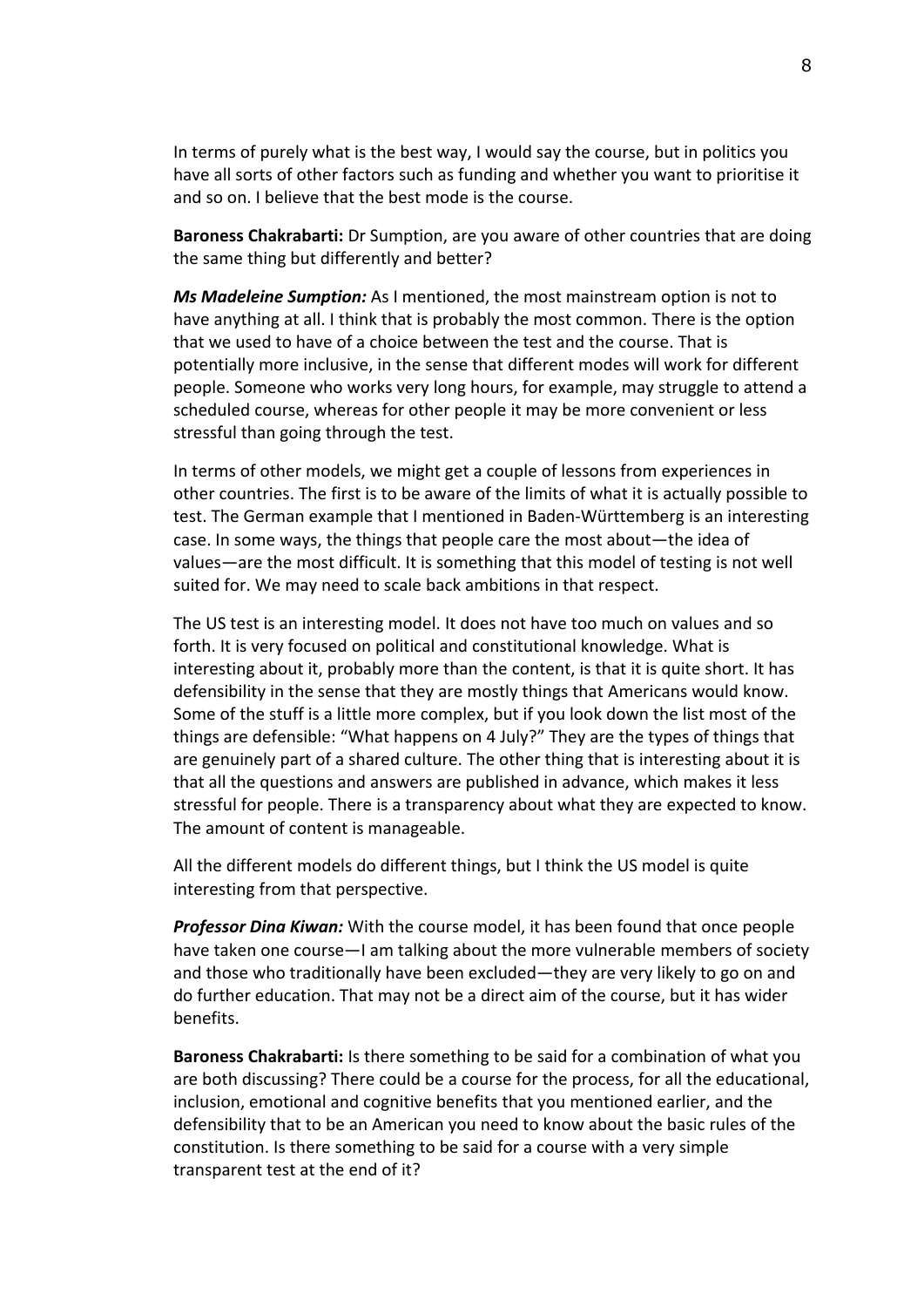In terms of purely what is the best way, I would say the course, but in politics you have all sorts of other factors such as funding and whether you want to prioritise it and so on. I believe that the best mode is the course.

**Baroness Chakrabarti:** Dr Sumption, are you aware of other countries that are doing the same thing but differently and better?

*Ms Madeleine Sumption:* As I mentioned, the most mainstream option is not to have anything at all. I think that is probably the most common. There is the option that we used to have of a choice between the test and the course. That is potentially more inclusive, in the sense that different modes will work for different people. Someone who works very long hours, for example, may struggle to attend a scheduled course, whereas for other people it may be more convenient or less stressful than going through the test.

In terms of other models, we might get a couple of lessons from experiences in other countries. The first is to be aware of the limits of what it is actually possible to test. The German example that I mentioned in Baden-Württemberg is an interesting case. In some ways, the things that people care the most about—the idea of values—are the most difficult. It is something that this model of testing is not well suited for. We may need to scale back ambitions in that respect.

The US test is an interesting model. It does not have too much on values and so forth. It is very focused on political and constitutional knowledge. What is interesting about it, probably more than the content, is that it is quite short. It has defensibility in the sense that they are mostly things that Americans would know. Some of the stuff is a little more complex, but if you look down the list most of the things are defensible: "What happens on 4 July?" They are the types of things that are genuinely part of a shared culture. The other thing that is interesting about it is that all the questions and answers are published in advance, which makes it less stressful for people. There is a transparency about what they are expected to know. The amount of content is manageable.

All the different models do different things, but I think the US model is quite interesting from that perspective.

*Professor Dina Kiwan:* With the course model, it has been found that once people have taken one course—I am talking about the more vulnerable members of society and those who traditionally have been excluded—they are very likely to go on and do further education. That may not be a direct aim of the course, but it has wider benefits.

**Baroness Chakrabarti:** Is there something to be said for a combination of what you are both discussing? There could be a course for the process, for all the educational, inclusion, emotional and cognitive benefits that you mentioned earlier, and the defensibility that to be an American you need to know about the basic rules of the constitution. Is there something to be said for a course with a very simple transparent test at the end of it?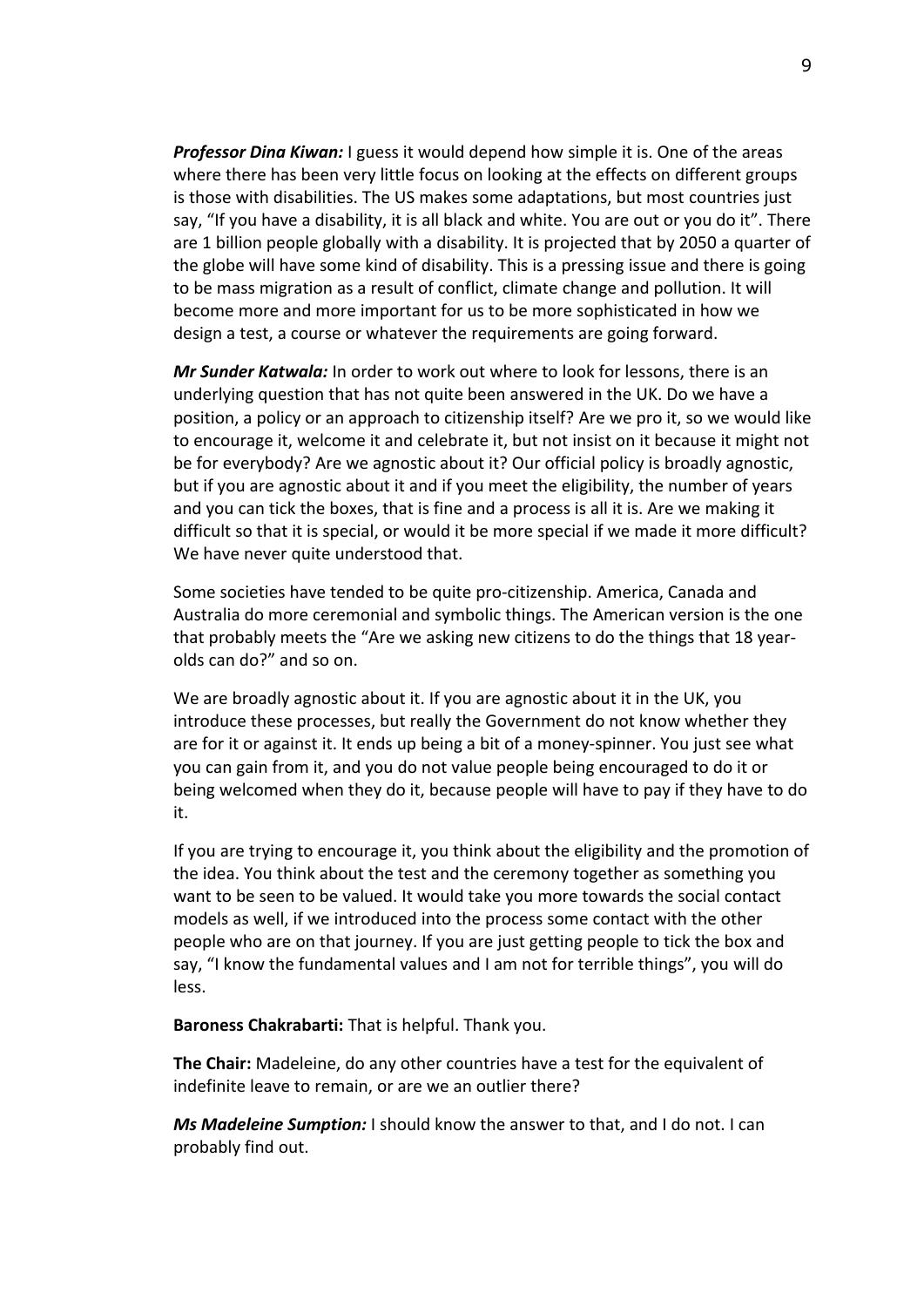*Professor Dina Kiwan:* I guess it would depend how simple it is. One of the areas where there has been very little focus on looking at the effects on different groups is those with disabilities. The US makes some adaptations, but most countries just say, "If you have a disability, it is all black and white. You are out or you do it". There are 1 billion people globally with a disability. It is projected that by 2050 a quarter of the globe will have some kind of disability. This is a pressing issue and there is going to be mass migration as a result of conflict, climate change and pollution. It will become more and more important for us to be more sophisticated in how we design a test, a course or whatever the requirements are going forward.

*Mr Sunder Katwala:* In order to work out where to look for lessons, there is an underlying question that has not quite been answered in the UK. Do we have a position, a policy or an approach to citizenship itself? Are we pro it, so we would like to encourage it, welcome it and celebrate it, but not insist on it because it might not be for everybody? Are we agnostic about it? Our official policy is broadly agnostic, but if you are agnostic about it and if you meet the eligibility, the number of years and you can tick the boxes, that is fine and a process is all it is. Are we making it difficult so that it is special, or would it be more special if we made it more difficult? We have never quite understood that.

Some societies have tended to be quite pro-citizenship. America, Canada and Australia do more ceremonial and symbolic things. The American version is the one that probably meets the "Are we asking new citizens to do the things that 18 yearolds can do?" and so on.

We are broadly agnostic about it. If you are agnostic about it in the UK, you introduce these processes, but really the Government do not know whether they are for it or against it. It ends up being a bit of a money-spinner. You just see what you can gain from it, and you do not value people being encouraged to do it or being welcomed when they do it, because people will have to pay if they have to do it.

If you are trying to encourage it, you think about the eligibility and the promotion of the idea. You think about the test and the ceremony together as something you want to be seen to be valued. It would take you more towards the social contact models as well, if we introduced into the process some contact with the other people who are on that journey. If you are just getting people to tick the box and say, "I know the fundamental values and I am not for terrible things", you will do less.

**Baroness Chakrabarti:** That is helpful. Thank you.

**The Chair:** Madeleine, do any other countries have a test for the equivalent of indefinite leave to remain, or are we an outlier there?

*Ms Madeleine Sumption:* I should know the answer to that, and I do not. I can probably find out.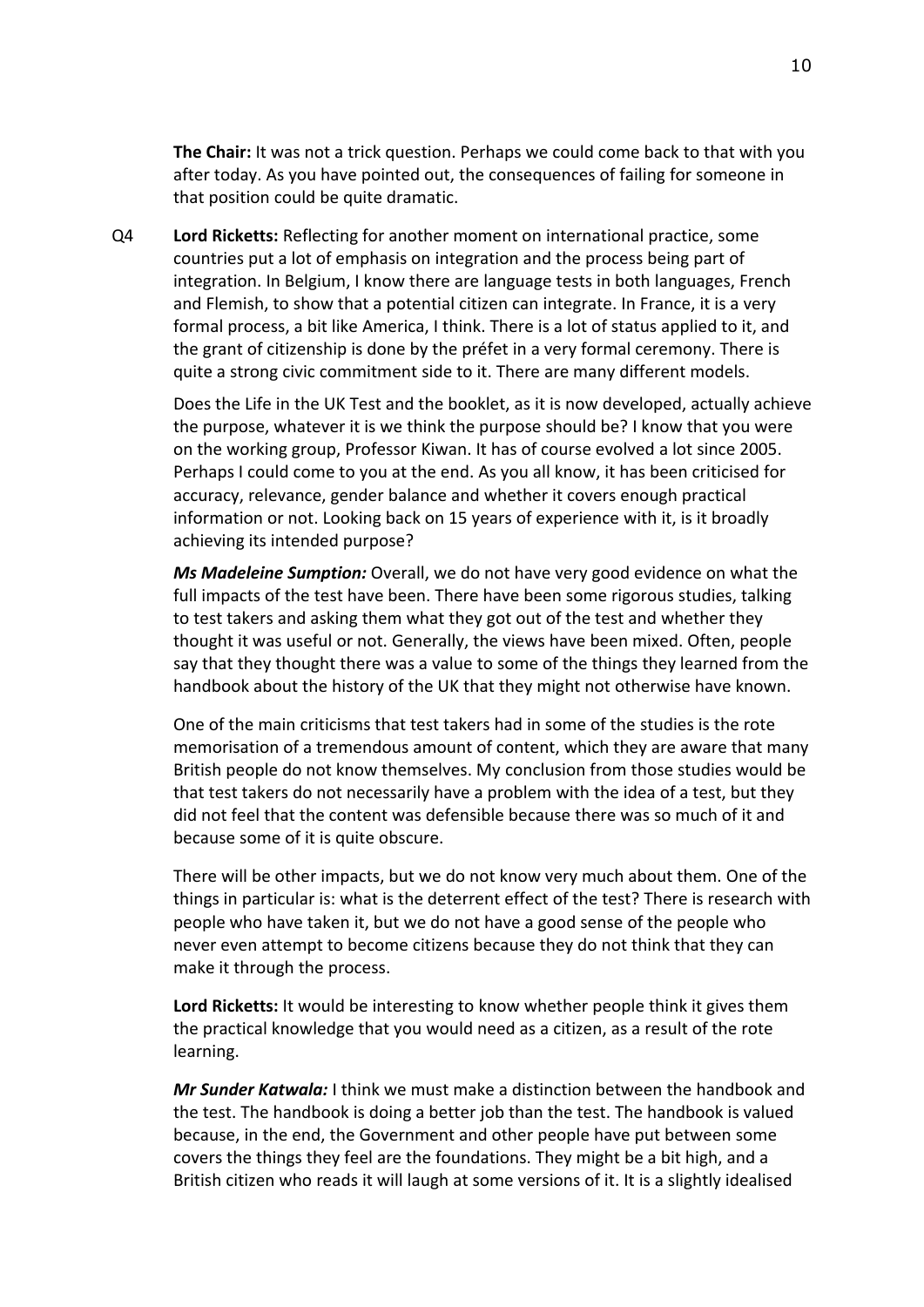**The Chair:** It was not a trick question. Perhaps we could come back to that with you after today. As you have pointed out, the consequences of failing for someone in that position could be quite dramatic.

Q4 **Lord Ricketts:** Reflecting for another moment on international practice, some countries put a lot of emphasis on integration and the process being part of integration. In Belgium, I know there are language tests in both languages, French and Flemish, to show that a potential citizen can integrate. In France, it is a very formal process, a bit like America, I think. There is a lot of status applied to it, and the grant of citizenship is done by the préfet in a very formal ceremony. There is quite a strong civic commitment side to it. There are many different models.

Does the Life in the UK Test and the booklet, as it is now developed, actually achieve the purpose, whatever it is we think the purpose should be? I know that you were on the working group, Professor Kiwan. It has of course evolved a lot since 2005. Perhaps I could come to you at the end. As you all know, it has been criticised for accuracy, relevance, gender balance and whether it covers enough practical information or not. Looking back on 15 years of experience with it, is it broadly achieving its intended purpose?

*Ms Madeleine Sumption:* Overall, we do not have very good evidence on what the full impacts of the test have been. There have been some rigorous studies, talking to test takers and asking them what they got out of the test and whether they thought it was useful or not. Generally, the views have been mixed. Often, people say that they thought there was a value to some of the things they learned from the handbook about the history of the UK that they might not otherwise have known.

One of the main criticisms that test takers had in some of the studies is the rote memorisation of a tremendous amount of content, which they are aware that many British people do not know themselves. My conclusion from those studies would be that test takers do not necessarily have a problem with the idea of a test, but they did not feel that the content was defensible because there was so much of it and because some of it is quite obscure.

There will be other impacts, but we do not know very much about them. One of the things in particular is: what is the deterrent effect of the test? There is research with people who have taken it, but we do not have a good sense of the people who never even attempt to become citizens because they do not think that they can make it through the process.

**Lord Ricketts:** It would be interesting to know whether people think it gives them the practical knowledge that you would need as a citizen, as a result of the rote learning.

*Mr Sunder Katwala:* I think we must make a distinction between the handbook and the test. The handbook is doing a better job than the test. The handbook is valued because, in the end, the Government and other people have put between some covers the things they feel are the foundations. They might be a bit high, and a British citizen who reads it will laugh at some versions of it. It is a slightly idealised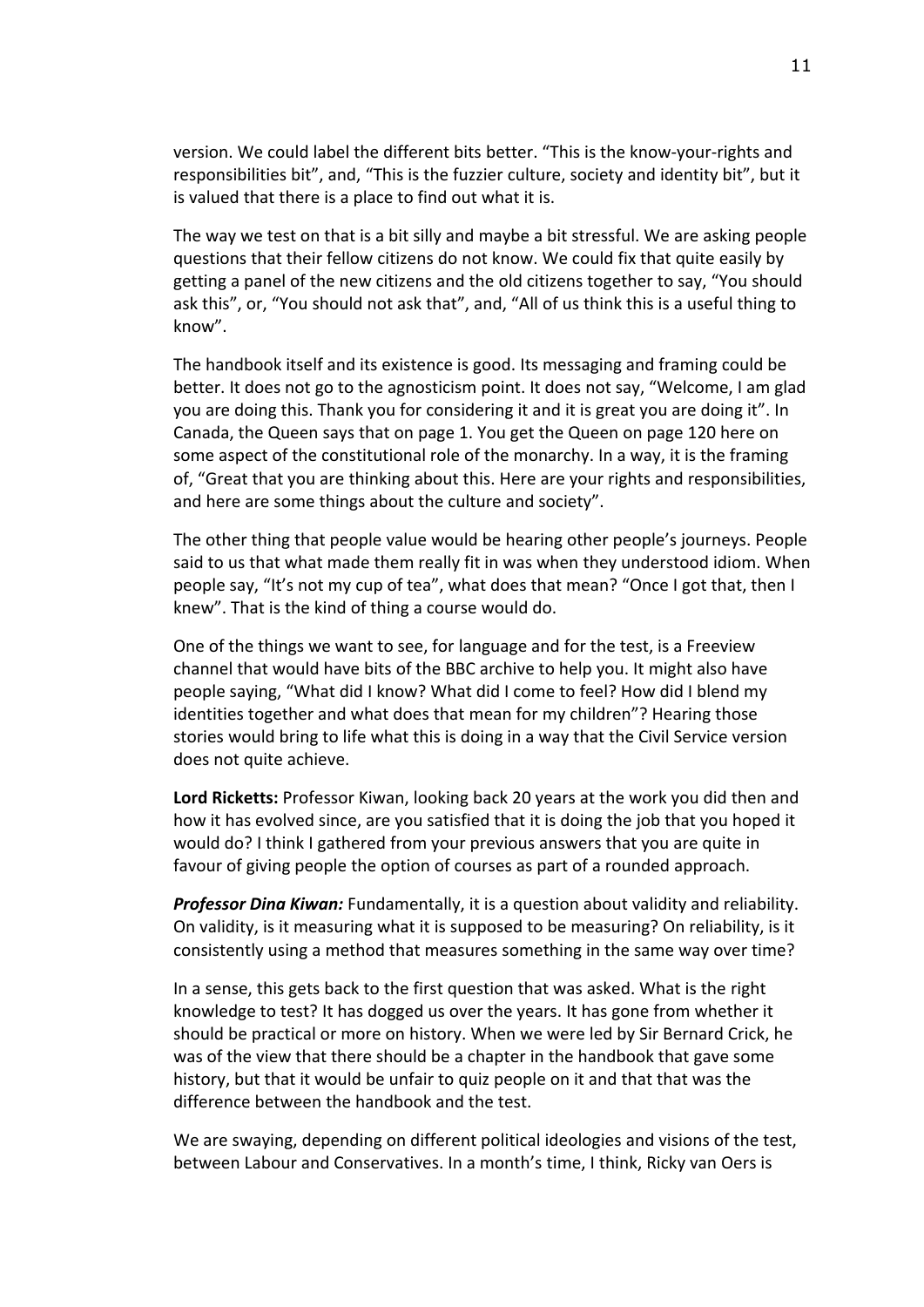version. We could label the different bits better. "This is the know-your-rights and responsibilities bit", and, "This is the fuzzier culture, society and identity bit", but it is valued that there is a place to find out what it is.

The way we test on that is a bit silly and maybe a bit stressful. We are asking people questions that their fellow citizens do not know. We could fix that quite easily by getting a panel of the new citizens and the old citizens together to say, "You should ask this", or, "You should not ask that", and, "All of us think this is a useful thing to know".

The handbook itself and its existence is good. Its messaging and framing could be better. It does not go to the agnosticism point. It does not say, "Welcome, I am glad you are doing this. Thank you for considering it and it is great you are doing it". In Canada, the Queen says that on page 1. You get the Queen on page 120 here on some aspect of the constitutional role of the monarchy. In a way, it is the framing of, "Great that you are thinking about this. Here are your rights and responsibilities, and here are some things about the culture and society".

The other thing that people value would be hearing other people's journeys. People said to us that what made them really fit in was when they understood idiom. When people say, "It's not my cup of tea", what does that mean? "Once I got that, then I knew". That is the kind of thing a course would do.

One of the things we want to see, for language and for the test, is a Freeview channel that would have bits of the BBC archive to help you. It might also have people saying, "What did I know? What did I come to feel? How did I blend my identities together and what does that mean for my children"? Hearing those stories would bring to life what this is doing in a way that the Civil Service version does not quite achieve.

**Lord Ricketts:** Professor Kiwan, looking back 20 years at the work you did then and how it has evolved since, are you satisfied that it is doing the job that you hoped it would do? I think I gathered from your previous answers that you are quite in favour of giving people the option of courses as part of a rounded approach.

*Professor Dina Kiwan:* Fundamentally, it is a question about validity and reliability. On validity, is it measuring what it is supposed to be measuring? On reliability, is it consistently using a method that measures something in the same way over time?

In a sense, this gets back to the first question that was asked. What is the right knowledge to test? It has dogged us over the years. It has gone from whether it should be practical or more on history. When we were led by Sir Bernard Crick, he was of the view that there should be a chapter in the handbook that gave some history, but that it would be unfair to quiz people on it and that that was the difference between the handbook and the test.

We are swaying, depending on different political ideologies and visions of the test, between Labour and Conservatives. In a month's time, I think, Ricky van Oers is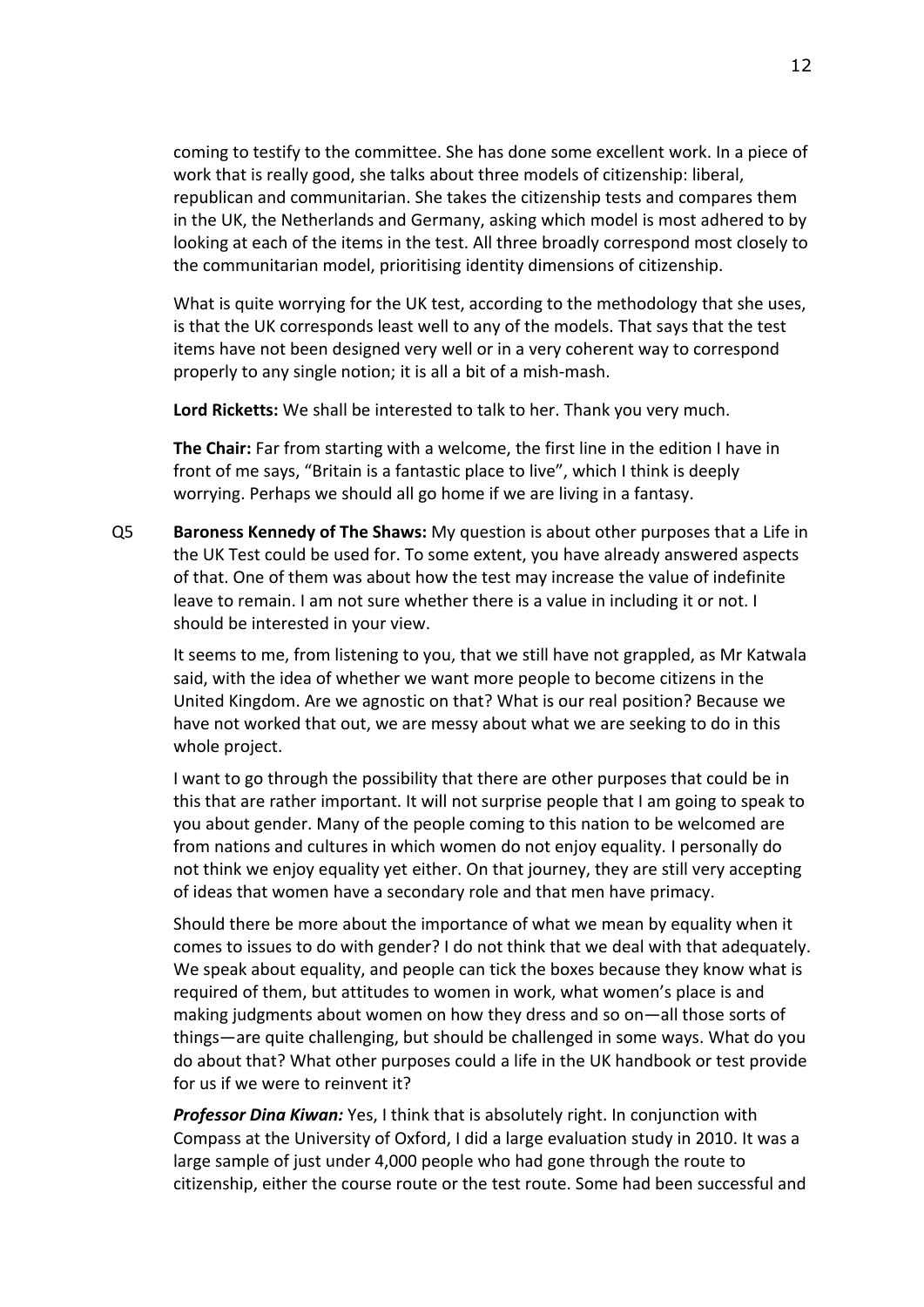coming to testify to the committee. She has done some excellent work. In a piece of work that is really good, she talks about three models of citizenship: liberal, republican and communitarian. She takes the citizenship tests and compares them in the UK, the Netherlands and Germany, asking which model is most adhered to by looking at each of the items in the test. All three broadly correspond most closely to the communitarian model, prioritising identity dimensions of citizenship.

What is quite worrying for the UK test, according to the methodology that she uses, is that the UK corresponds least well to any of the models. That says that the test items have not been designed very well or in a very coherent way to correspond properly to any single notion; it is all a bit of a mish-mash.

**Lord Ricketts:** We shall be interested to talk to her. Thank you very much.

**The Chair:** Far from starting with a welcome, the first line in the edition I have in front of me says, "Britain is a fantastic place to live", which I think is deeply worrying. Perhaps we should all go home if we are living in a fantasy.

Q5 **Baroness Kennedy of The Shaws:** My question is about other purposes that a Life in the UK Test could be used for. To some extent, you have already answered aspects of that. One of them was about how the test may increase the value of indefinite leave to remain. I am not sure whether there is a value in including it or not. I should be interested in your view.

It seems to me, from listening to you, that we still have not grappled, as Mr Katwala said, with the idea of whether we want more people to become citizens in the United Kingdom. Are we agnostic on that? What is our real position? Because we have not worked that out, we are messy about what we are seeking to do in this whole project.

I want to go through the possibility that there are other purposes that could be in this that are rather important. It will not surprise people that I am going to speak to you about gender. Many of the people coming to this nation to be welcomed are from nations and cultures in which women do not enjoy equality. I personally do not think we enjoy equality yet either. On that journey, they are still very accepting of ideas that women have a secondary role and that men have primacy.

Should there be more about the importance of what we mean by equality when it comes to issues to do with gender? I do not think that we deal with that adequately. We speak about equality, and people can tick the boxes because they know what is required of them, but attitudes to women in work, what women's place is and making judgments about women on how they dress and so on—all those sorts of things—are quite challenging, but should be challenged in some ways. What do you do about that? What other purposes could a life in the UK handbook or test provide for us if we were to reinvent it?

*Professor Dina Kiwan:* Yes, I think that is absolutely right. In conjunction with Compass at the University of Oxford, I did a large evaluation study in 2010. It was a large sample of just under 4,000 people who had gone through the route to citizenship, either the course route or the test route. Some had been successful and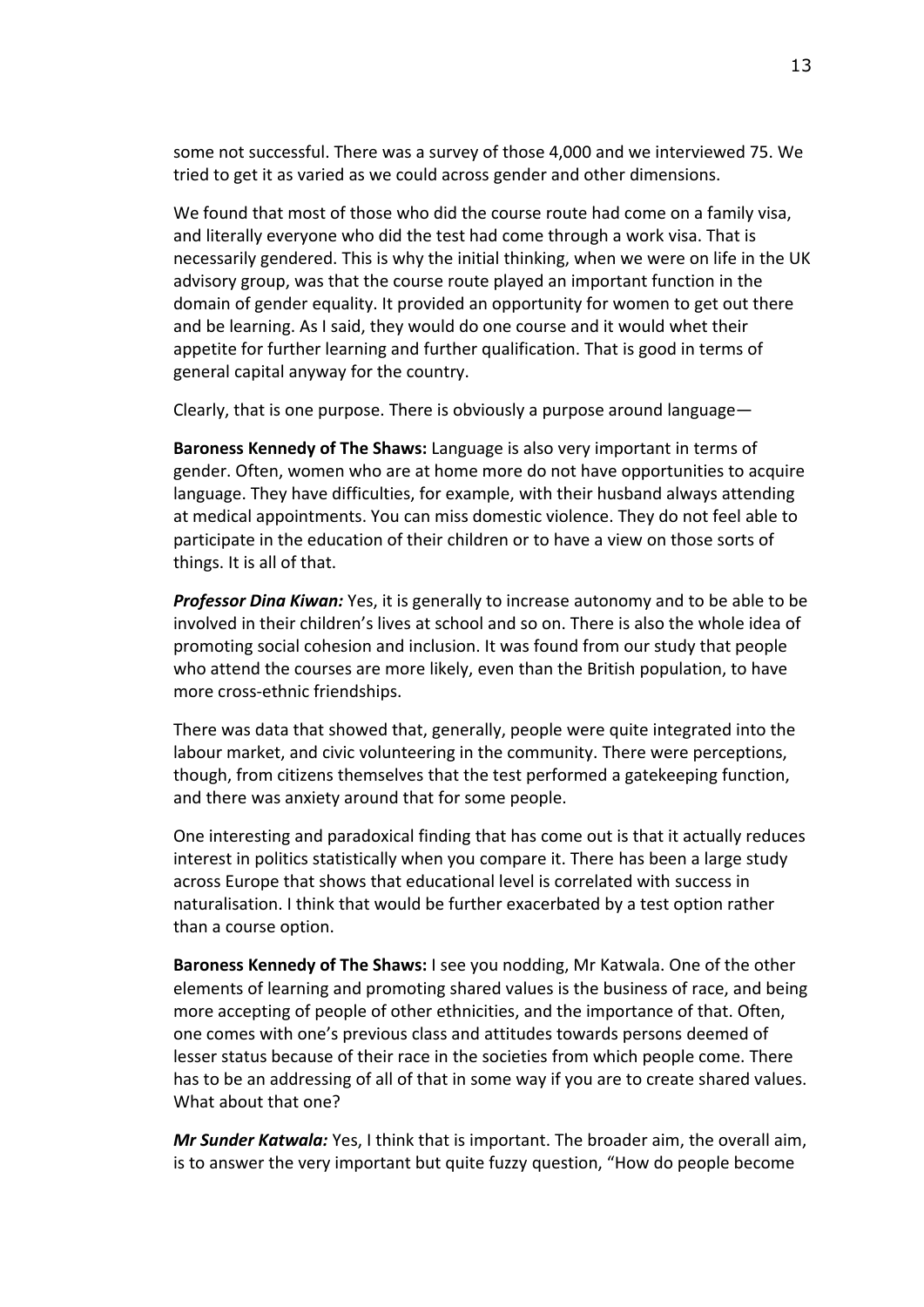some not successful. There was a survey of those 4,000 and we interviewed 75. We tried to get it as varied as we could across gender and other dimensions.

We found that most of those who did the course route had come on a family visa, and literally everyone who did the test had come through a work visa. That is necessarily gendered. This is why the initial thinking, when we were on life in the UK advisory group, was that the course route played an important function in the domain of gender equality. It provided an opportunity for women to get out there and be learning. As I said, they would do one course and it would whet their appetite for further learning and further qualification. That is good in terms of general capital anyway for the country.

Clearly, that is one purpose. There is obviously a purpose around language—

**Baroness Kennedy of The Shaws:** Language is also very important in terms of gender. Often, women who are at home more do not have opportunities to acquire language. They have difficulties, for example, with their husband always attending at medical appointments. You can miss domestic violence. They do not feel able to participate in the education of their children or to have a view on those sorts of things. It is all of that.

*Professor Dina Kiwan:* Yes, it is generally to increase autonomy and to be able to be involved in their children's lives at school and so on. There is also the whole idea of promoting social cohesion and inclusion. It was found from our study that people who attend the courses are more likely, even than the British population, to have more cross-ethnic friendships.

There was data that showed that, generally, people were quite integrated into the labour market, and civic volunteering in the community. There were perceptions, though, from citizens themselves that the test performed a gatekeeping function, and there was anxiety around that for some people.

One interesting and paradoxical finding that has come out is that it actually reduces interest in politics statistically when you compare it. There has been a large study across Europe that shows that educational level is correlated with success in naturalisation. I think that would be further exacerbated by a test option rather than a course option.

**Baroness Kennedy of The Shaws:** I see you nodding, Mr Katwala. One of the other elements of learning and promoting shared values is the business of race, and being more accepting of people of other ethnicities, and the importance of that. Often, one comes with one's previous class and attitudes towards persons deemed of lesser status because of their race in the societies from which people come. There has to be an addressing of all of that in some way if you are to create shared values. What about that one?

*Mr Sunder Katwala:* Yes, I think that is important. The broader aim, the overall aim, is to answer the very important but quite fuzzy question, "How do people become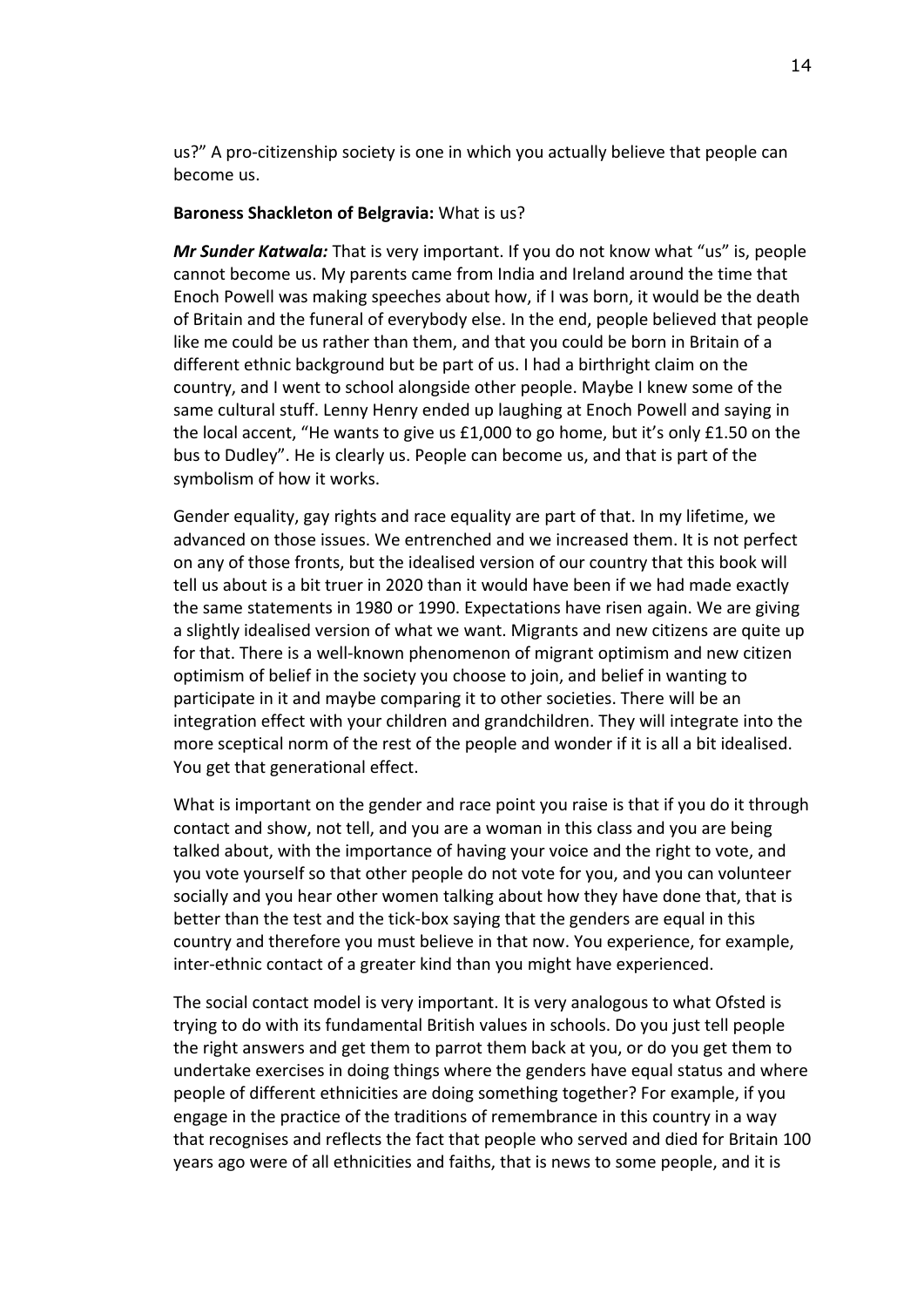us?" A pro-citizenship society is one in which you actually believe that people can become us.

#### **Baroness Shackleton of Belgravia:** What is us?

*Mr Sunder Katwala:* That is very important. If you do not know what "us" is, people cannot become us. My parents came from India and Ireland around the time that Enoch Powell was making speeches about how, if I was born, it would be the death of Britain and the funeral of everybody else. In the end, people believed that people like me could be us rather than them, and that you could be born in Britain of a different ethnic background but be part of us. I had a birthright claim on the country, and I went to school alongside other people. Maybe I knew some of the same cultural stuff. Lenny Henry ended up laughing at Enoch Powell and saying in the local accent, "He wants to give us £1,000 to go home, but it's only £1.50 on the bus to Dudley". He is clearly us. People can become us, and that is part of the symbolism of how it works.

Gender equality, gay rights and race equality are part of that. In my lifetime, we advanced on those issues. We entrenched and we increased them. It is not perfect on any of those fronts, but the idealised version of our country that this book will tell us about is a bit truer in 2020 than it would have been if we had made exactly the same statements in 1980 or 1990. Expectations have risen again. We are giving a slightly idealised version of what we want. Migrants and new citizens are quite up for that. There is a well-known phenomenon of migrant optimism and new citizen optimism of belief in the society you choose to join, and belief in wanting to participate in it and maybe comparing it to other societies. There will be an integration effect with your children and grandchildren. They will integrate into the more sceptical norm of the rest of the people and wonder if it is all a bit idealised. You get that generational effect.

What is important on the gender and race point you raise is that if you do it through contact and show, not tell, and you are a woman in this class and you are being talked about, with the importance of having your voice and the right to vote, and you vote yourself so that other people do not vote for you, and you can volunteer socially and you hear other women talking about how they have done that, that is better than the test and the tick-box saying that the genders are equal in this country and therefore you must believe in that now. You experience, for example, inter-ethnic contact of a greater kind than you might have experienced.

The social contact model is very important. It is very analogous to what Ofsted is trying to do with its fundamental British values in schools. Do you just tell people the right answers and get them to parrot them back at you, or do you get them to undertake exercises in doing things where the genders have equal status and where people of different ethnicities are doing something together? For example, if you engage in the practice of the traditions of remembrance in this country in a way that recognises and reflects the fact that people who served and died for Britain 100 years ago were of all ethnicities and faiths, that is news to some people, and it is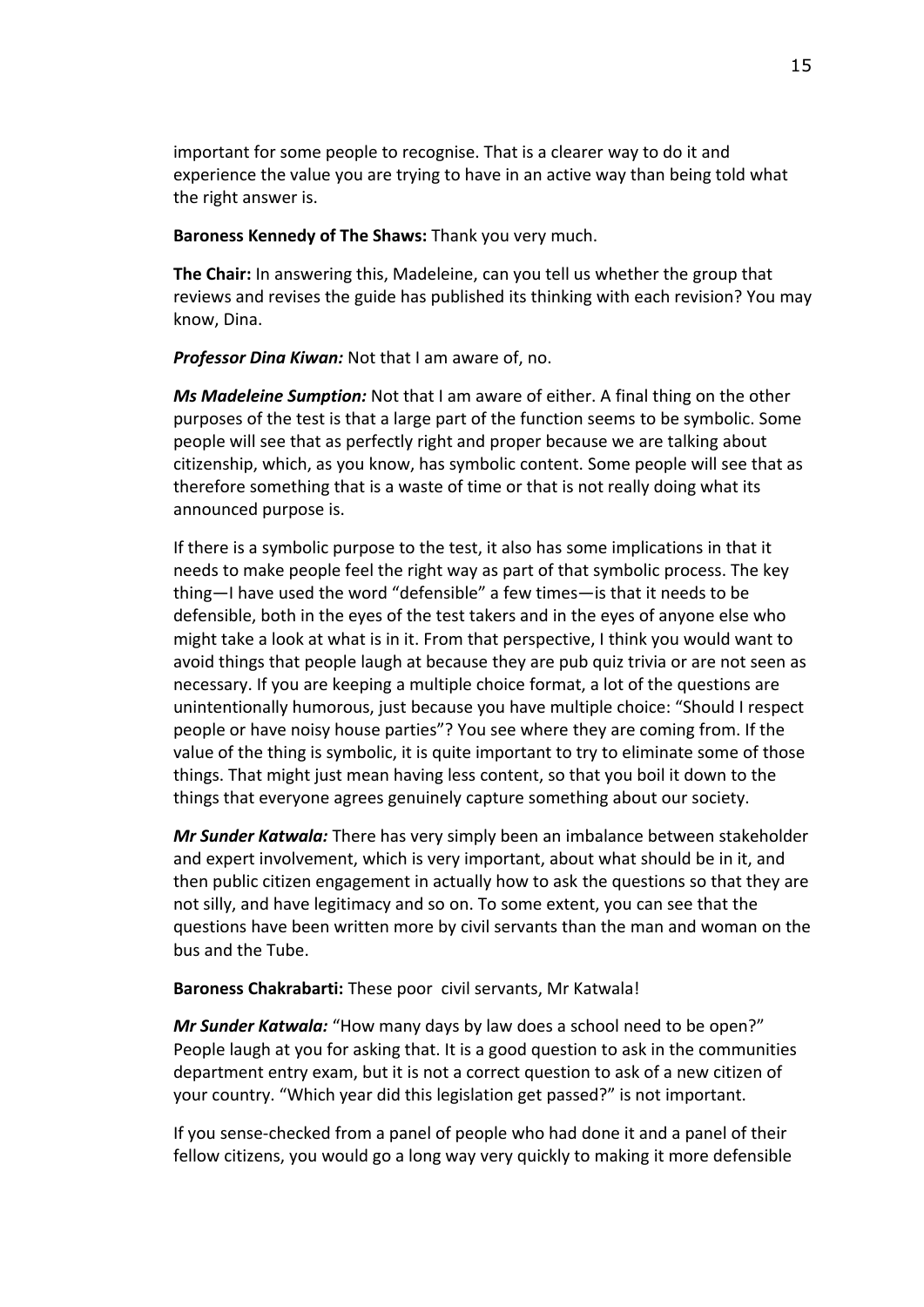important for some people to recognise. That is a clearer way to do it and experience the value you are trying to have in an active way than being told what the right answer is.

**Baroness Kennedy of The Shaws:** Thank you very much.

**The Chair:** In answering this, Madeleine, can you tell us whether the group that reviews and revises the guide has published its thinking with each revision? You may know, Dina.

*Professor Dina Kiwan:* Not that I am aware of, no.

*Ms Madeleine Sumption:* Not that I am aware of either. A final thing on the other purposes of the test is that a large part of the function seems to be symbolic. Some people will see that as perfectly right and proper because we are talking about citizenship, which, as you know, has symbolic content. Some people will see that as therefore something that is a waste of time or that is not really doing what its announced purpose is.

If there is a symbolic purpose to the test, it also has some implications in that it needs to make people feel the right way as part of that symbolic process. The key thing—I have used the word "defensible" a few times—is that it needs to be defensible, both in the eyes of the test takers and in the eyes of anyone else who might take a look at what is in it. From that perspective, I think you would want to avoid things that people laugh at because they are pub quiz trivia or are not seen as necessary. If you are keeping a multiple choice format, a lot of the questions are unintentionally humorous, just because you have multiple choice: "Should I respect people or have noisy house parties"? You see where they are coming from. If the value of the thing is symbolic, it is quite important to try to eliminate some of those things. That might just mean having less content, so that you boil it down to the things that everyone agrees genuinely capture something about our society.

*Mr Sunder Katwala:* There has very simply been an imbalance between stakeholder and expert involvement, which is very important, about what should be in it, and then public citizen engagement in actually how to ask the questions so that they are not silly, and have legitimacy and so on. To some extent, you can see that the questions have been written more by civil servants than the man and woman on the bus and the Tube.

**Baroness Chakrabarti:** These poor civil servants, Mr Katwala!

*Mr Sunder Katwala:* "How many days by law does a school need to be open?" People laugh at you for asking that. It is a good question to ask in the communities department entry exam, but it is not a correct question to ask of a new citizen of your country. "Which year did this legislation get passed?" is not important.

If you sense-checked from a panel of people who had done it and a panel of their fellow citizens, you would go a long way very quickly to making it more defensible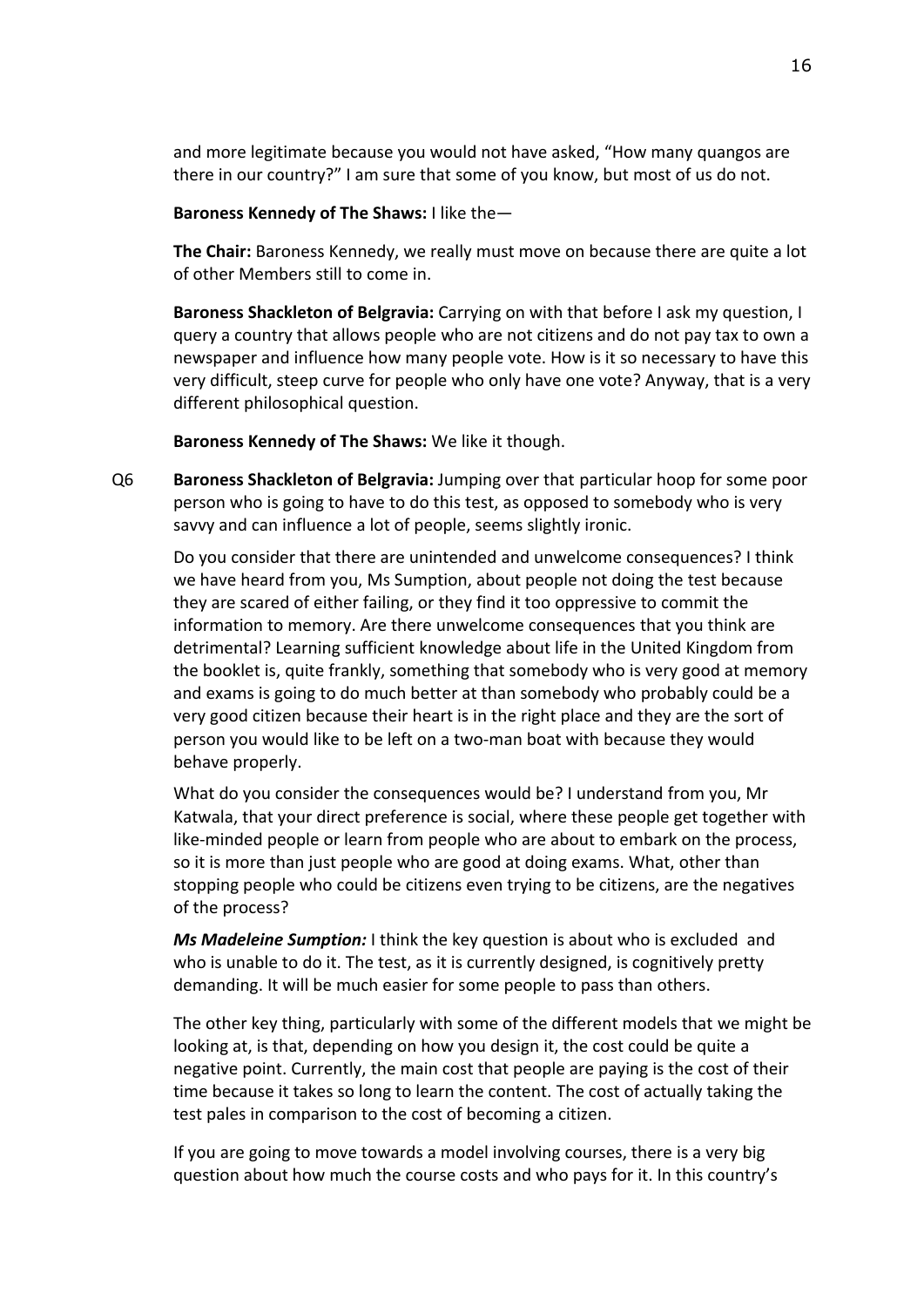and more legitimate because you would not have asked, "How many quangos are there in our country?" I am sure that some of you know, but most of us do not.

#### **Baroness Kennedy of The Shaws:** I like the—

**The Chair:** Baroness Kennedy, we really must move on because there are quite a lot of other Members still to come in.

**Baroness Shackleton of Belgravia:** Carrying on with that before I ask my question, I query a country that allows people who are not citizens and do not pay tax to own a newspaper and influence how many people vote. How is it so necessary to have this very difficult, steep curve for people who only have one vote? Anyway, that is a very different philosophical question.

**Baroness Kennedy of The Shaws:** We like it though.

Q6 **Baroness Shackleton of Belgravia:** Jumping over that particular hoop for some poor person who is going to have to do this test, as opposed to somebody who is very savvy and can influence a lot of people, seems slightly ironic.

Do you consider that there are unintended and unwelcome consequences? I think we have heard from you, Ms Sumption, about people not doing the test because they are scared of either failing, or they find it too oppressive to commit the information to memory. Are there unwelcome consequences that you think are detrimental? Learning sufficient knowledge about life in the United Kingdom from the booklet is, quite frankly, something that somebody who is very good at memory and exams is going to do much better at than somebody who probably could be a very good citizen because their heart is in the right place and they are the sort of person you would like to be left on a two-man boat with because they would behave properly.

What do you consider the consequences would be? I understand from you, Mr Katwala, that your direct preference is social, where these people get together with like-minded people or learn from people who are about to embark on the process, so it is more than just people who are good at doing exams. What, other than stopping people who could be citizens even trying to be citizens, are the negatives of the process?

*Ms Madeleine Sumption:* I think the key question is about who is excluded and who is unable to do it. The test, as it is currently designed, is cognitively pretty demanding. It will be much easier for some people to pass than others.

The other key thing, particularly with some of the different models that we might be looking at, is that, depending on how you design it, the cost could be quite a negative point. Currently, the main cost that people are paying is the cost of their time because it takes so long to learn the content. The cost of actually taking the test pales in comparison to the cost of becoming a citizen.

If you are going to move towards a model involving courses, there is a very big question about how much the course costs and who pays for it. In this country's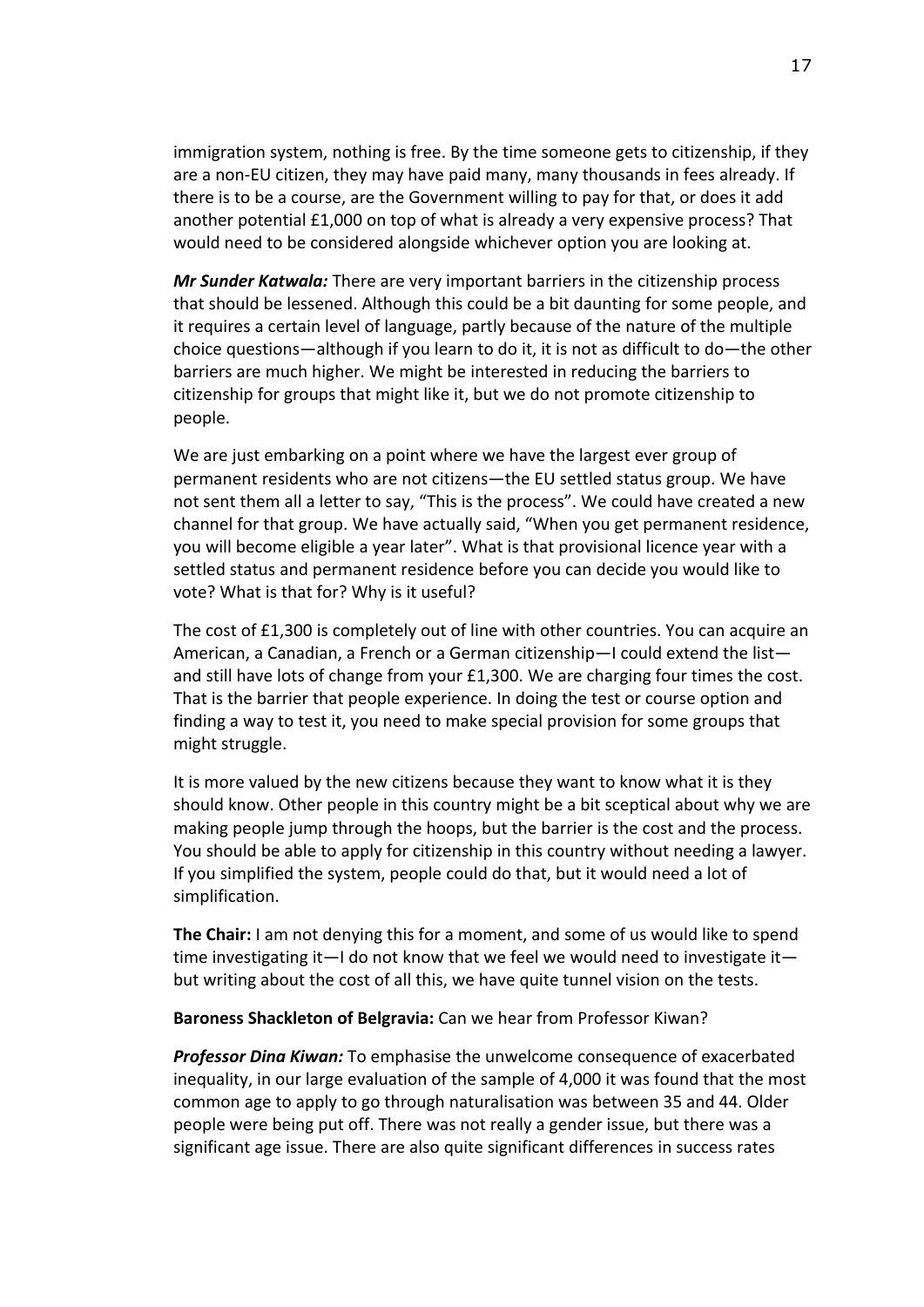immigration system, nothing is free. By the time someone gets to citizenship, if they are a non-EU citizen, they may have paid many, many thousands in fees already. If there is to be a course, are the Government willing to pay for that, or does it add another potential £1,000 on top of what is already a very expensive process? That would need to be considered alongside whichever option you are looking at.

*Mr Sunder Katwala:* There are very important barriers in the citizenship process that should be lessened. Although this could be a bit daunting for some people, and it requires a certain level of language, partly because of the nature of the multiple choice questions—although if you learn to do it, it is not as difficult to do—the other barriers are much higher. We might be interested in reducing the barriers to citizenship for groups that might like it, but we do not promote citizenship to people.

We are just embarking on a point where we have the largest ever group of permanent residents who are not citizens—the EU settled status group. We have not sent them all a letter to say, "This is the process". We could have created a new channel for that group. We have actually said, "When you get permanent residence, you will become eligible a year later". What is that provisional licence year with a settled status and permanent residence before you can decide you would like to vote? What is that for? Why is it useful?

The cost of £1,300 is completely out of line with other countries. You can acquire an American, a Canadian, a French or a German citizenship—I could extend the list and still have lots of change from your £1,300. We are charging four times the cost. That is the barrier that people experience. In doing the test or course option and finding a way to test it, you need to make special provision for some groups that might struggle.

It is more valued by the new citizens because they want to know what it is they should know. Other people in this country might be a bit sceptical about why we are making people jump through the hoops, but the barrier is the cost and the process. You should be able to apply for citizenship in this country without needing a lawyer. If you simplified the system, people could do that, but it would need a lot of simplification.

**The Chair:** I am not denying this for a moment, and some of us would like to spend time investigating it—I do not know that we feel we would need to investigate it but writing about the cost of all this, we have quite tunnel vision on the tests.

#### **Baroness Shackleton of Belgravia:** Can we hear from Professor Kiwan?

*Professor Dina Kiwan:* To emphasise the unwelcome consequence of exacerbated inequality, in our large evaluation of the sample of 4,000 it was found that the most common age to apply to go through naturalisation was between 35 and 44. Older people were being put off. There was not really a gender issue, but there was a significant age issue. There are also quite significant differences in success rates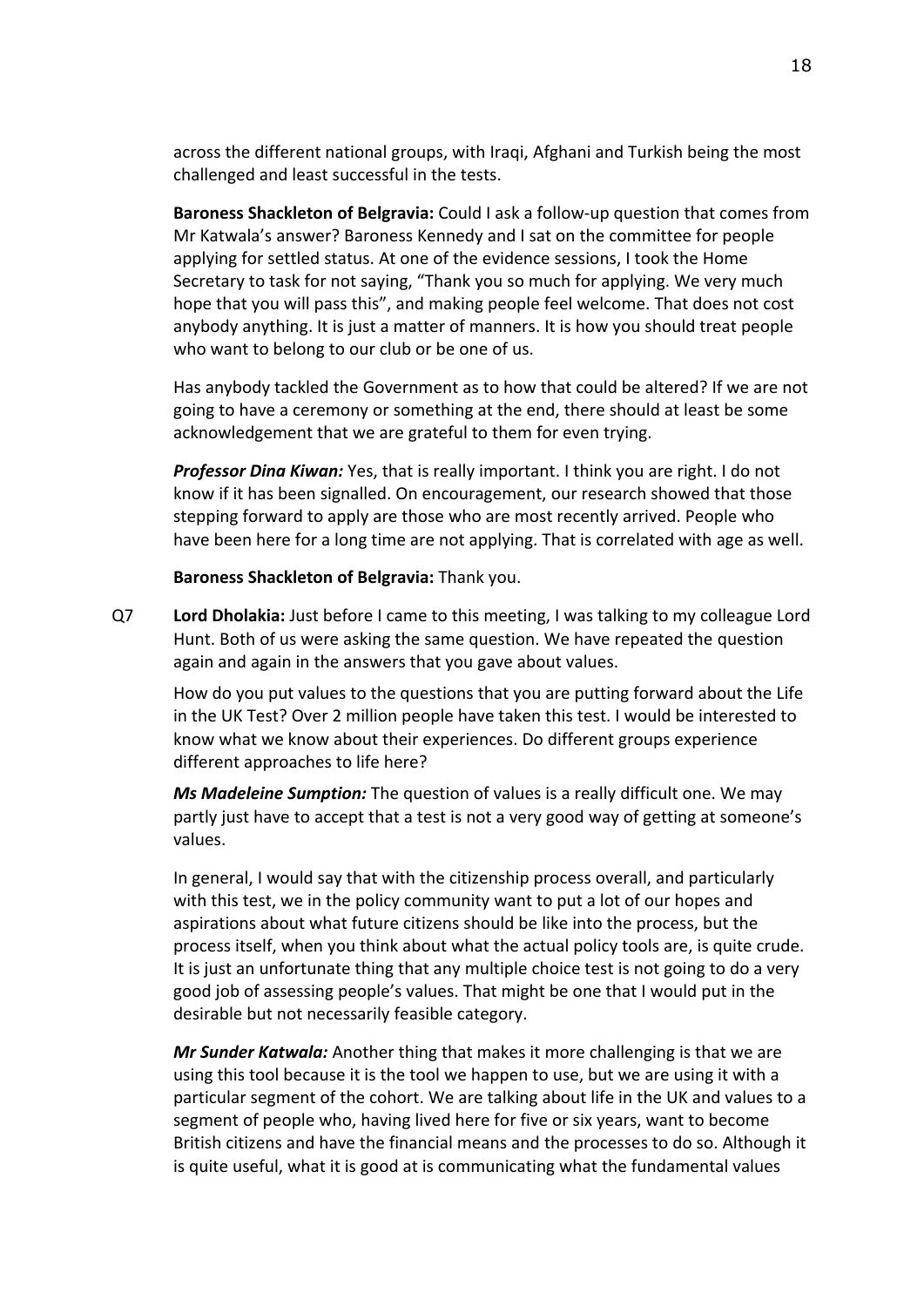across the different national groups, with Iraqi, Afghani and Turkish being the most challenged and least successful in the tests.

**Baroness Shackleton of Belgravia:** Could I ask a follow-up question that comes from Mr Katwala's answer? Baroness Kennedy and I sat on the committee for people applying for settled status. At one of the evidence sessions, I took the Home Secretary to task for not saying, "Thank you so much for applying. We very much hope that you will pass this", and making people feel welcome. That does not cost anybody anything. It is just a matter of manners. It is how you should treat people who want to belong to our club or be one of us.

Has anybody tackled the Government as to how that could be altered? If we are not going to have a ceremony or something at the end, there should at least be some acknowledgement that we are grateful to them for even trying.

*Professor Dina Kiwan:* Yes, that is really important. I think you are right. I do not know if it has been signalled. On encouragement, our research showed that those stepping forward to apply are those who are most recently arrived. People who have been here for a long time are not applying. That is correlated with age as well.

**Baroness Shackleton of Belgravia:** Thank you.

Q7 **Lord Dholakia:** Just before I came to this meeting, I was talking to my colleague Lord Hunt. Both of us were asking the same question. We have repeated the question again and again in the answers that you gave about values.

How do you put values to the questions that you are putting forward about the Life in the UK Test? Over 2 million people have taken this test. I would be interested to know what we know about their experiences. Do different groups experience different approaches to life here?

*Ms Madeleine Sumption:* The question of values is a really difficult one. We may partly just have to accept that a test is not a very good way of getting at someone's values.

In general, I would say that with the citizenship process overall, and particularly with this test, we in the policy community want to put a lot of our hopes and aspirations about what future citizens should be like into the process, but the process itself, when you think about what the actual policy tools are, is quite crude. It is just an unfortunate thing that any multiple choice test is not going to do a very good job of assessing people's values. That might be one that I would put in the desirable but not necessarily feasible category.

*Mr Sunder Katwala:* Another thing that makes it more challenging is that we are using this tool because it is the tool we happen to use, but we are using it with a particular segment of the cohort. We are talking about life in the UK and values to a segment of people who, having lived here for five or six years, want to become British citizens and have the financial means and the processes to do so. Although it is quite useful, what it is good at is communicating what the fundamental values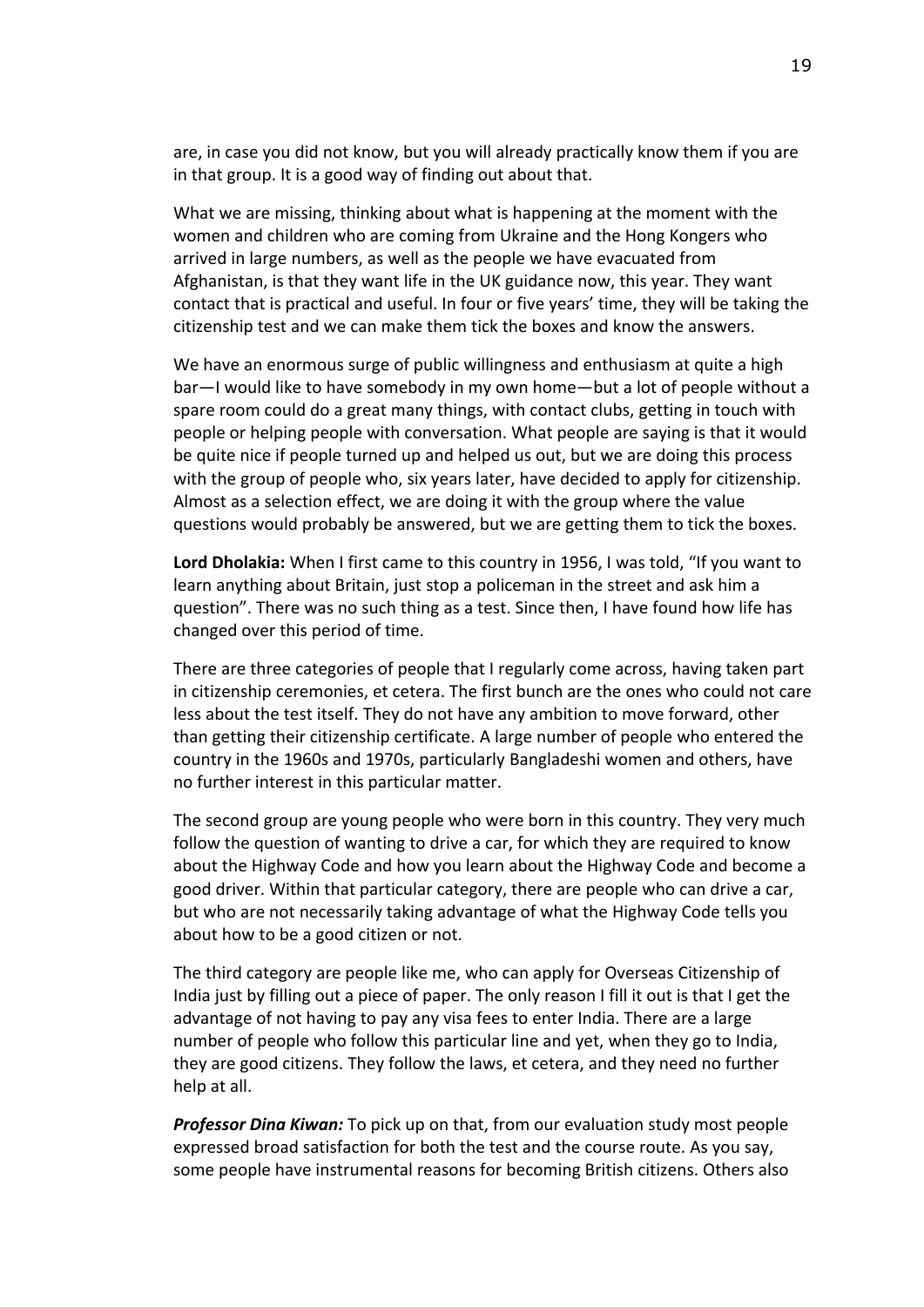are, in case you did not know, but you will already practically know them if you are in that group. It is a good way of finding out about that.

What we are missing, thinking about what is happening at the moment with the women and children who are coming from Ukraine and the Hong Kongers who arrived in large numbers, as well as the people we have evacuated from Afghanistan, is that they want life in the UK guidance now, this year. They want contact that is practical and useful. In four or five years' time, they will be taking the citizenship test and we can make them tick the boxes and know the answers.

We have an enormous surge of public willingness and enthusiasm at quite a high bar—I would like to have somebody in my own home—but a lot of people without a spare room could do a great many things, with contact clubs, getting in touch with people or helping people with conversation. What people are saying is that it would be quite nice if people turned up and helped us out, but we are doing this process with the group of people who, six years later, have decided to apply for citizenship. Almost as a selection effect, we are doing it with the group where the value questions would probably be answered, but we are getting them to tick the boxes.

**Lord Dholakia:** When I first came to this country in 1956, I was told, "If you want to learn anything about Britain, just stop a policeman in the street and ask him a question". There was no such thing as a test. Since then, I have found how life has changed over this period of time.

There are three categories of people that I regularly come across, having taken part in citizenship ceremonies, et cetera. The first bunch are the ones who could not care less about the test itself. They do not have any ambition to move forward, other than getting their citizenship certificate. A large number of people who entered the country in the 1960s and 1970s, particularly Bangladeshi women and others, have no further interest in this particular matter.

The second group are young people who were born in this country. They very much follow the question of wanting to drive a car, for which they are required to know about the Highway Code and how you learn about the Highway Code and become a good driver. Within that particular category, there are people who can drive a car, but who are not necessarily taking advantage of what the Highway Code tells you about how to be a good citizen or not.

The third category are people like me, who can apply for Overseas Citizenship of India just by filling out a piece of paper. The only reason I fill it out is that I get the advantage of not having to pay any visa fees to enter India. There are a large number of people who follow this particular line and yet, when they go to India, they are good citizens. They follow the laws, et cetera, and they need no further help at all.

*Professor Dina Kiwan:* To pick up on that, from our evaluation study most people expressed broad satisfaction for both the test and the course route. As you say, some people have instrumental reasons for becoming British citizens. Others also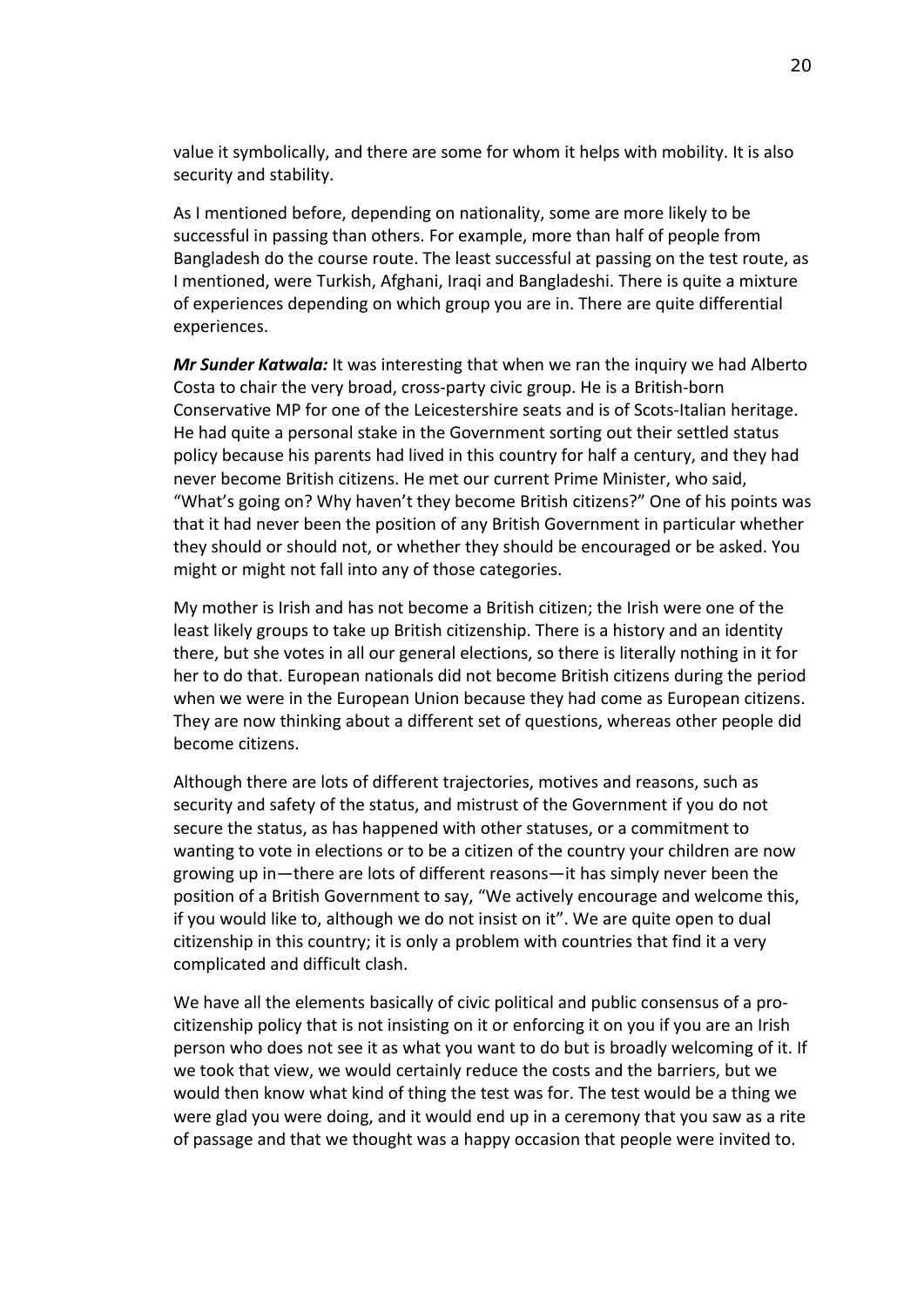value it symbolically, and there are some for whom it helps with mobility. It is also security and stability.

As I mentioned before, depending on nationality, some are more likely to be successful in passing than others. For example, more than half of people from Bangladesh do the course route. The least successful at passing on the test route, as I mentioned, were Turkish, Afghani, Iraqi and Bangladeshi. There is quite a mixture of experiences depending on which group you are in. There are quite differential experiences.

*Mr Sunder Katwala:* It was interesting that when we ran the inquiry we had Alberto Costa to chair the very broad, cross-party civic group. He is a British-born Conservative MP for one of the Leicestershire seats and is of Scots-Italian heritage. He had quite a personal stake in the Government sorting out their settled status policy because his parents had lived in this country for half a century, and they had never become British citizens. He met our current Prime Minister, who said, "What's going on? Why haven't they become British citizens?" One of his points was that it had never been the position of any British Government in particular whether they should or should not, or whether they should be encouraged or be asked. You might or might not fall into any of those categories.

My mother is Irish and has not become a British citizen; the Irish were one of the least likely groups to take up British citizenship. There is a history and an identity there, but she votes in all our general elections, so there is literally nothing in it for her to do that. European nationals did not become British citizens during the period when we were in the European Union because they had come as European citizens. They are now thinking about a different set of questions, whereas other people did become citizens.

Although there are lots of different trajectories, motives and reasons, such as security and safety of the status, and mistrust of the Government if you do not secure the status, as has happened with other statuses, or a commitment to wanting to vote in elections or to be a citizen of the country your children are now growing up in—there are lots of different reasons—it has simply never been the position of a British Government to say, "We actively encourage and welcome this, if you would like to, although we do not insist on it". We are quite open to dual citizenship in this country; it is only a problem with countries that find it a very complicated and difficult clash.

We have all the elements basically of civic political and public consensus of a procitizenship policy that is not insisting on it or enforcing it on you if you are an Irish person who does not see it as what you want to do but is broadly welcoming of it. If we took that view, we would certainly reduce the costs and the barriers, but we would then know what kind of thing the test was for. The test would be a thing we were glad you were doing, and it would end up in a ceremony that you saw as a rite of passage and that we thought was a happy occasion that people were invited to.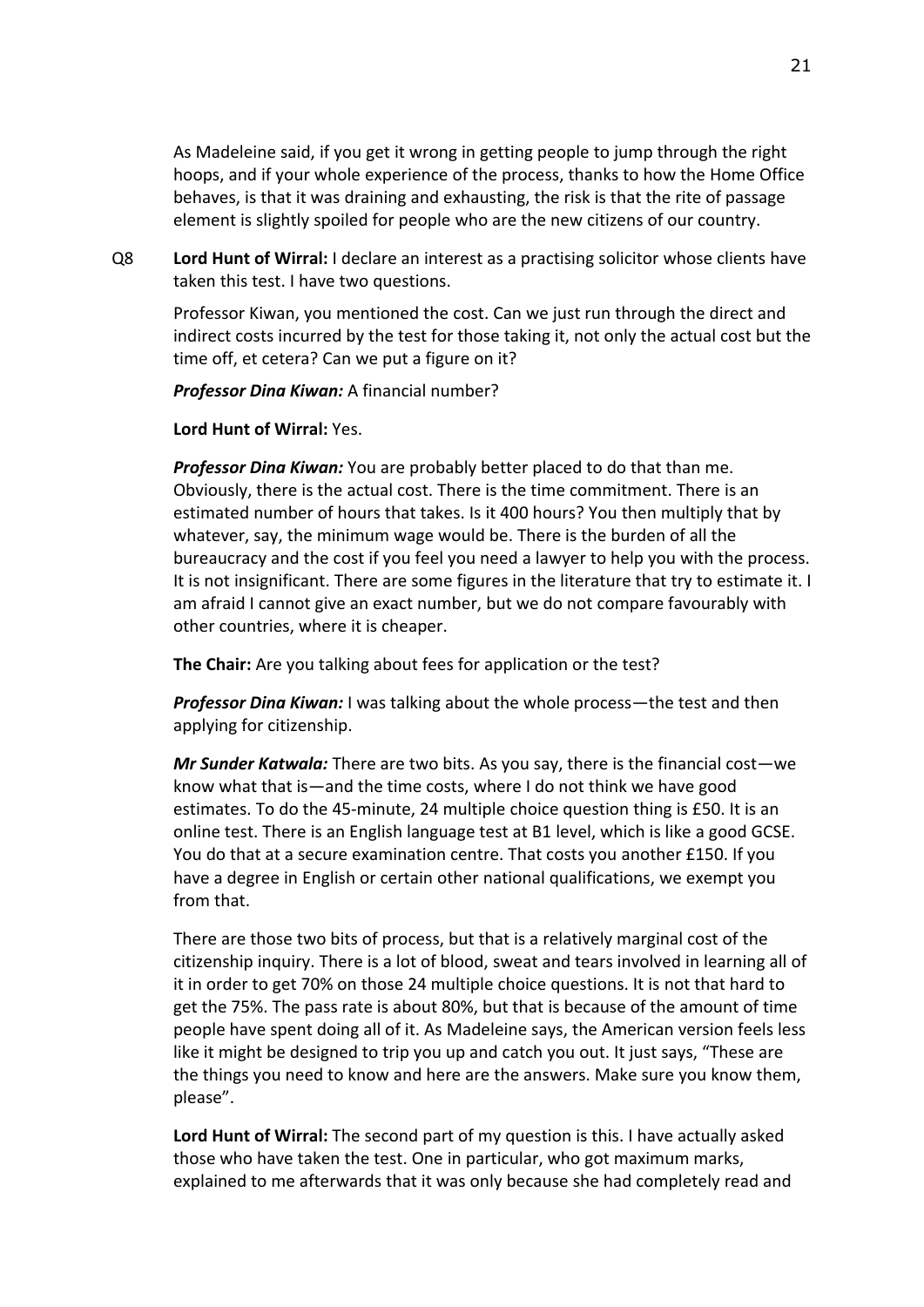As Madeleine said, if you get it wrong in getting people to jump through the right hoops, and if your whole experience of the process, thanks to how the Home Office behaves, is that it was draining and exhausting, the risk is that the rite of passage element is slightly spoiled for people who are the new citizens of our country.

Q8 **Lord Hunt of Wirral:** I declare an interest as a practising solicitor whose clients have taken this test. I have two questions.

Professor Kiwan, you mentioned the cost. Can we just run through the direct and indirect costs incurred by the test for those taking it, not only the actual cost but the time off, et cetera? Can we put a figure on it?

*Professor Dina Kiwan:* A financial number?

**Lord Hunt of Wirral:** Yes.

*Professor Dina Kiwan:* You are probably better placed to do that than me. Obviously, there is the actual cost. There is the time commitment. There is an estimated number of hours that takes. Is it 400 hours? You then multiply that by whatever, say, the minimum wage would be. There is the burden of all the bureaucracy and the cost if you feel you need a lawyer to help you with the process. It is not insignificant. There are some figures in the literature that try to estimate it. I am afraid I cannot give an exact number, but we do not compare favourably with other countries, where it is cheaper.

**The Chair:** Are you talking about fees for application or the test?

*Professor Dina Kiwan:* I was talking about the whole process—the test and then applying for citizenship.

*Mr Sunder Katwala:* There are two bits. As you say, there is the financial cost—we know what that is—and the time costs, where I do not think we have good estimates. To do the 45-minute, 24 multiple choice question thing is £50. It is an online test. There is an English language test at B1 level, which is like a good GCSE. You do that at a secure examination centre. That costs you another £150. If you have a degree in English or certain other national qualifications, we exempt you from that.

There are those two bits of process, but that is a relatively marginal cost of the citizenship inquiry. There is a lot of blood, sweat and tears involved in learning all of it in order to get 70% on those 24 multiple choice questions. It is not that hard to get the 75%. The pass rate is about 80%, but that is because of the amount of time people have spent doing all of it. As Madeleine says, the American version feels less like it might be designed to trip you up and catch you out. It just says, "These are the things you need to know and here are the answers. Make sure you know them, please".

**Lord Hunt of Wirral:** The second part of my question is this. I have actually asked those who have taken the test. One in particular, who got maximum marks, explained to me afterwards that it was only because she had completely read and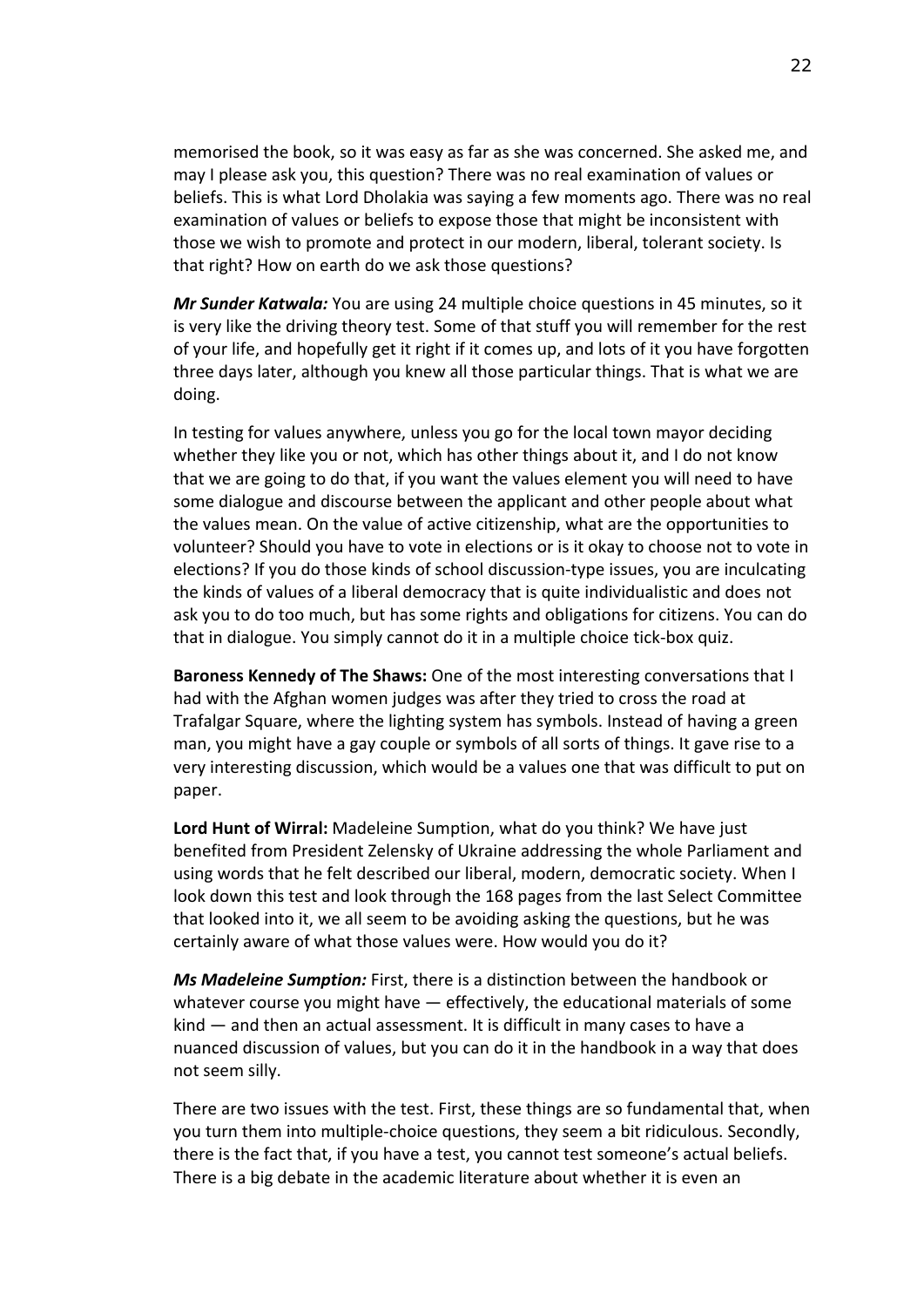memorised the book, so it was easy as far as she was concerned. She asked me, and may I please ask you, this question? There was no real examination of values or beliefs. This is what Lord Dholakia was saying a few moments ago. There was no real examination of values or beliefs to expose those that might be inconsistent with those we wish to promote and protect in our modern, liberal, tolerant society. Is that right? How on earth do we ask those questions?

*Mr Sunder Katwala:* You are using 24 multiple choice questions in 45 minutes, so it is very like the driving theory test. Some of that stuff you will remember for the rest of your life, and hopefully get it right if it comes up, and lots of it you have forgotten three days later, although you knew all those particular things. That is what we are doing.

In testing for values anywhere, unless you go for the local town mayor deciding whether they like you or not, which has other things about it, and I do not know that we are going to do that, if you want the values element you will need to have some dialogue and discourse between the applicant and other people about what the values mean. On the value of active citizenship, what are the opportunities to volunteer? Should you have to vote in elections or is it okay to choose not to vote in elections? If you do those kinds of school discussion-type issues, you are inculcating the kinds of values of a liberal democracy that is quite individualistic and does not ask you to do too much, but has some rights and obligations for citizens. You can do that in dialogue. You simply cannot do it in a multiple choice tick-box quiz.

**Baroness Kennedy of The Shaws:** One of the most interesting conversations that I had with the Afghan women judges was after they tried to cross the road at Trafalgar Square, where the lighting system has symbols. Instead of having a green man, you might have a gay couple or symbols of all sorts of things. It gave rise to a very interesting discussion, which would be a values one that was difficult to put on paper.

**Lord Hunt of Wirral:** Madeleine Sumption, what do you think? We have just benefited from President Zelensky of Ukraine addressing the whole Parliament and using words that he felt described our liberal, modern, democratic society. When I look down this test and look through the 168 pages from the last Select Committee that looked into it, we all seem to be avoiding asking the questions, but he was certainly aware of what those values were. How would you do it?

*Ms Madeleine Sumption:* First, there is a distinction between the handbook or whatever course you might have — effectively, the educational materials of some kind — and then an actual assessment. It is difficult in many cases to have a nuanced discussion of values, but you can do it in the handbook in a way that does not seem silly.

There are two issues with the test. First, these things are so fundamental that, when you turn them into multiple-choice questions, they seem a bit ridiculous. Secondly, there is the fact that, if you have a test, you cannot test someone's actual beliefs. There is a big debate in the academic literature about whether it is even an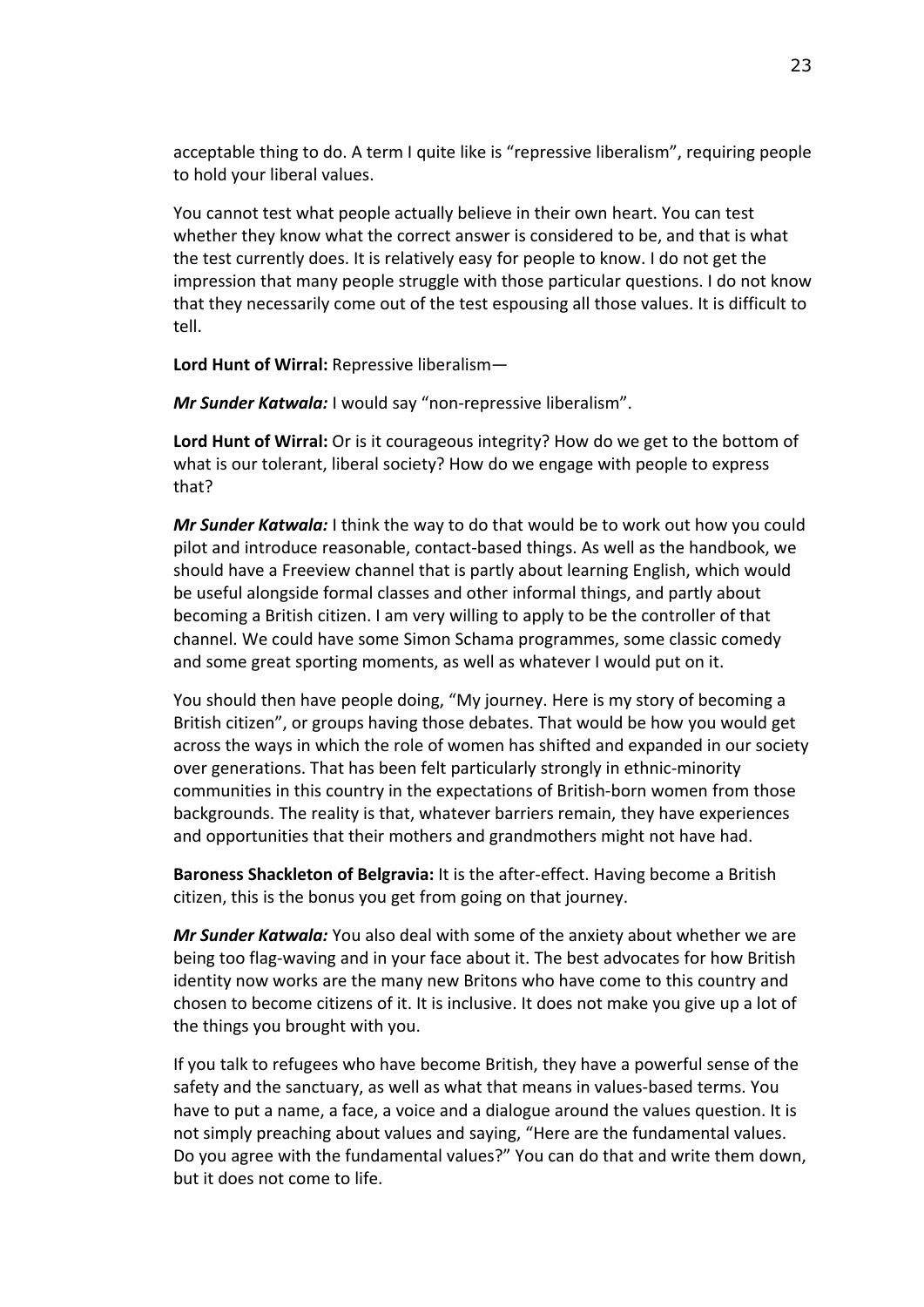acceptable thing to do. A term I quite like is "repressive liberalism", requiring people to hold your liberal values.

You cannot test what people actually believe in their own heart. You can test whether they know what the correct answer is considered to be, and that is what the test currently does. It is relatively easy for people to know. I do not get the impression that many people struggle with those particular questions. I do not know that they necessarily come out of the test espousing all those values. It is difficult to tell.

**Lord Hunt of Wirral:** Repressive liberalism—

*Mr Sunder Katwala:* I would say "non-repressive liberalism".

**Lord Hunt of Wirral:** Or is it courageous integrity? How do we get to the bottom of what is our tolerant, liberal society? How do we engage with people to express that?

*Mr Sunder Katwala:* I think the way to do that would be to work out how you could pilot and introduce reasonable, contact-based things. As well as the handbook, we should have a Freeview channel that is partly about learning English, which would be useful alongside formal classes and other informal things, and partly about becoming a British citizen. I am very willing to apply to be the controller of that channel. We could have some Simon Schama programmes, some classic comedy and some great sporting moments, as well as whatever I would put on it.

You should then have people doing, "My journey. Here is my story of becoming a British citizen", or groups having those debates. That would be how you would get across the ways in which the role of women has shifted and expanded in our society over generations. That has been felt particularly strongly in ethnic-minority communities in this country in the expectations of British-born women from those backgrounds. The reality is that, whatever barriers remain, they have experiences and opportunities that their mothers and grandmothers might not have had.

**Baroness Shackleton of Belgravia:** It is the after-effect. Having become a British citizen, this is the bonus you get from going on that journey.

*Mr Sunder Katwala:* You also deal with some of the anxiety about whether we are being too flag-waving and in your face about it. The best advocates for how British identity now works are the many new Britons who have come to this country and chosen to become citizens of it. It is inclusive. It does not make you give up a lot of the things you brought with you.

If you talk to refugees who have become British, they have a powerful sense of the safety and the sanctuary, as well as what that means in values-based terms. You have to put a name, a face, a voice and a dialogue around the values question. It is not simply preaching about values and saying, "Here are the fundamental values. Do you agree with the fundamental values?" You can do that and write them down, but it does not come to life.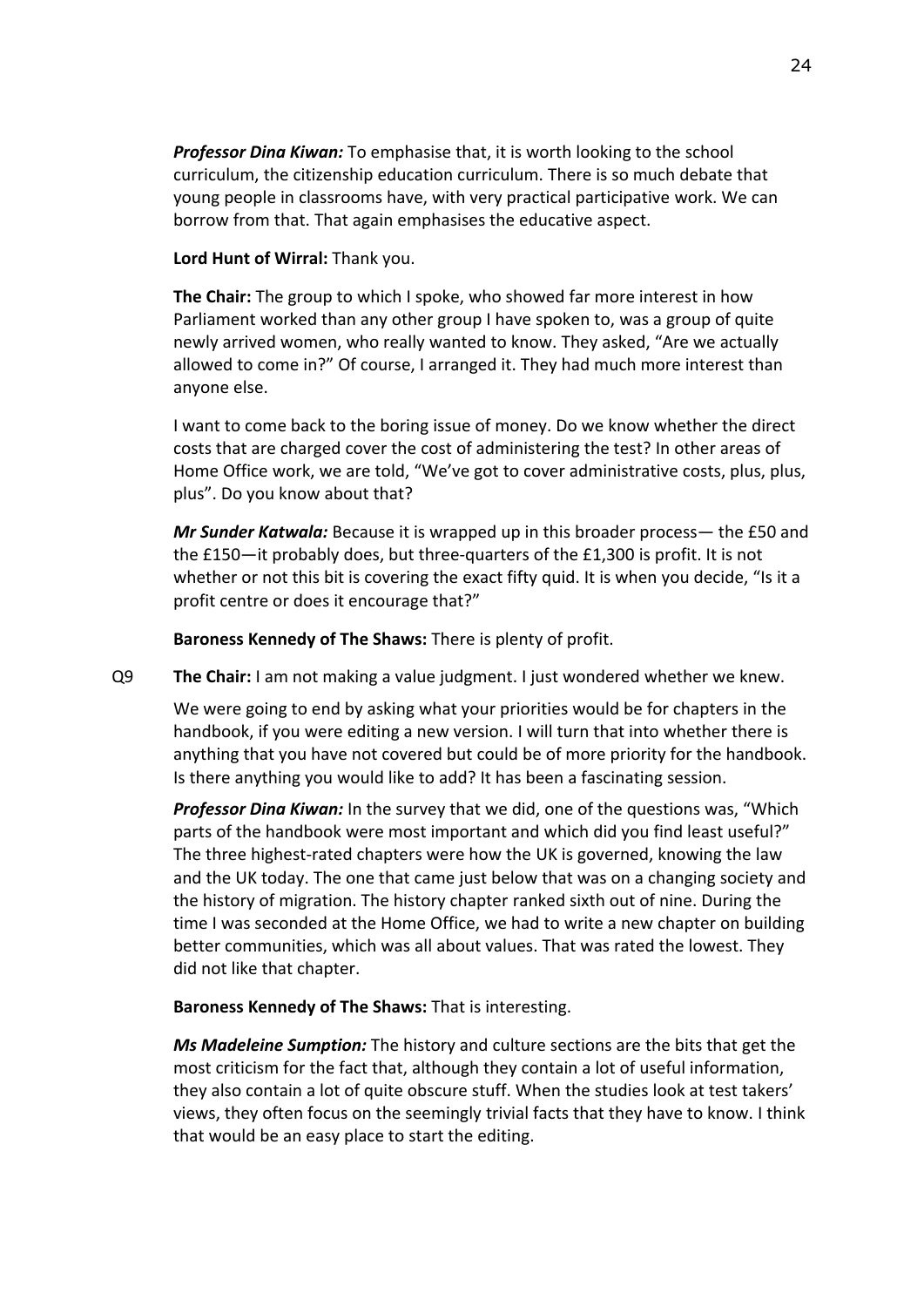*Professor Dina Kiwan:* To emphasise that, it is worth looking to the school curriculum, the citizenship education curriculum. There is so much debate that young people in classrooms have, with very practical participative work. We can borrow from that. That again emphasises the educative aspect.

### **Lord Hunt of Wirral:** Thank you.

**The Chair:** The group to which I spoke, who showed far more interest in how Parliament worked than any other group I have spoken to, was a group of quite newly arrived women, who really wanted to know. They asked, "Are we actually allowed to come in?" Of course, I arranged it. They had much more interest than anyone else.

I want to come back to the boring issue of money. Do we know whether the direct costs that are charged cover the cost of administering the test? In other areas of Home Office work, we are told, "We've got to cover administrative costs, plus, plus, plus". Do you know about that?

*Mr Sunder Katwala:* Because it is wrapped up in this broader process— the £50 and the £150—it probably does, but three-quarters of the £1,300 is profit. It is not whether or not this bit is covering the exact fifty quid. It is when you decide, "Is it a profit centre or does it encourage that?"

**Baroness Kennedy of The Shaws:** There is plenty of profit.

Q9 **The Chair:** I am not making a value judgment. I just wondered whether we knew.

We were going to end by asking what your priorities would be for chapters in the handbook, if you were editing a new version. I will turn that into whether there is anything that you have not covered but could be of more priority for the handbook. Is there anything you would like to add? It has been a fascinating session.

*Professor Dina Kiwan:* In the survey that we did, one of the questions was, "Which parts of the handbook were most important and which did you find least useful?" The three highest-rated chapters were how the UK is governed, knowing the law and the UK today. The one that came just below that was on a changing society and the history of migration. The history chapter ranked sixth out of nine. During the time I was seconded at the Home Office, we had to write a new chapter on building better communities, which was all about values. That was rated the lowest. They did not like that chapter.

# **Baroness Kennedy of The Shaws:** That is interesting.

*Ms Madeleine Sumption:* The history and culture sections are the bits that get the most criticism for the fact that, although they contain a lot of useful information, they also contain a lot of quite obscure stuff. When the studies look at test takers' views, they often focus on the seemingly trivial facts that they have to know. I think that would be an easy place to start the editing.